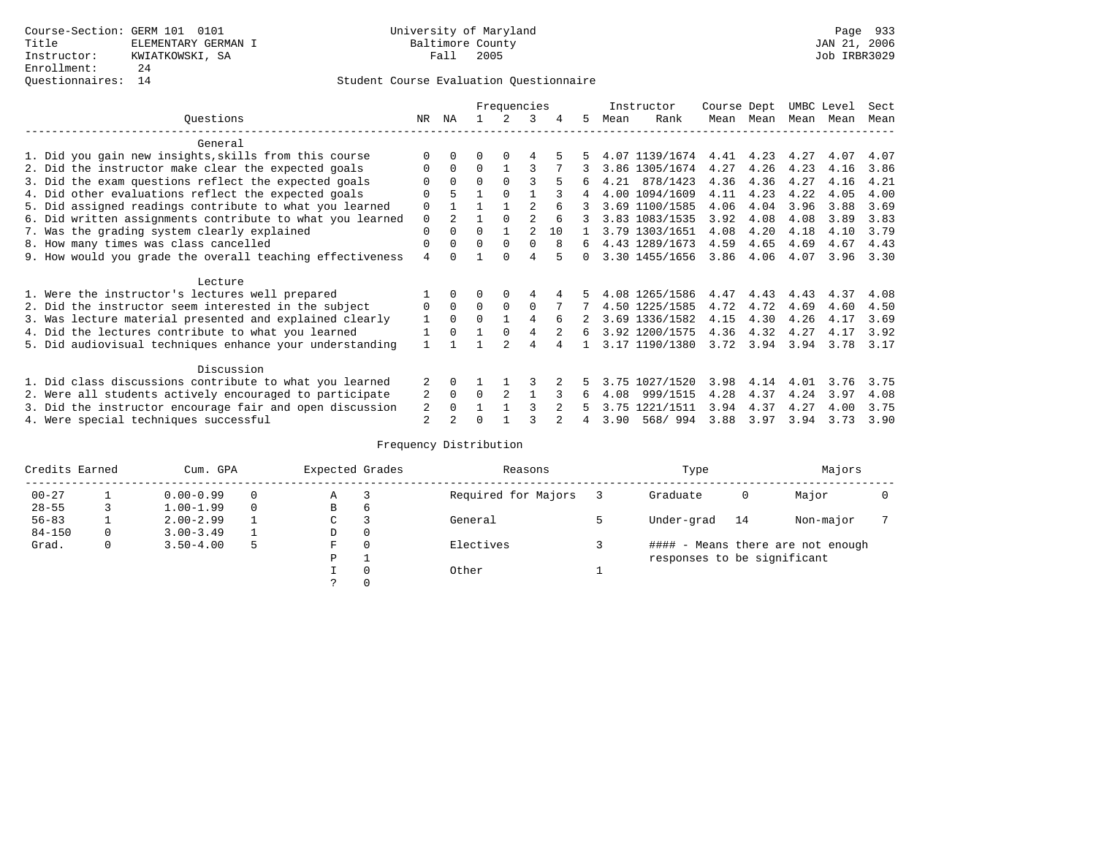|            |                                                           |    |                | Frequencies |               |          |    | Instructor |      | Course Dept    |      | UMBC Level |      | Sect |      |
|------------|-----------------------------------------------------------|----|----------------|-------------|---------------|----------|----|------------|------|----------------|------|------------|------|------|------|
|            | Ouestions                                                 | NR | ΝA             |             | $\mathcal{L}$ | 3        | 4  | 5          | Mean | Rank           |      | Mean Mean  | Mean | Mean | Mean |
|            | General                                                   |    |                |             |               |          |    |            |      |                |      |            |      |      |      |
|            | 1. Did you gain new insights, skills from this course     |    | $\Omega$       | 0           | $\Omega$      | 4        |    |            |      | 4.07 1139/1674 | 4.41 | 4.23       | 4.27 | 4.07 | 4.07 |
|            | 2. Did the instructor make clear the expected goals       | 0  | $\Omega$       | $\Omega$    |               |          |    |            |      | 3.86 1305/1674 | 4.27 | 4.26       | 4.23 | 4.16 | 3.86 |
|            | 3. Did the exam questions reflect the expected goals      |    | $\Omega$       | $\Omega$    | $\Omega$      | ς        | 5  | 6          |      | 4.21 878/1423  | 4.36 | 4.36       | 4.27 | 4.16 | 4.21 |
|            | 4. Did other evaluations reflect the expected goals       |    | 5              |             | $\Omega$      |          |    | 4          |      | 4.00 1094/1609 | 4.11 | 4.23       | 4.22 | 4.05 | 4.00 |
|            | 5. Did assigned readings contribute to what you learned   | 0  |                |             |               | 2        |    |            |      | 3.69 1100/1585 | 4.06 | 4.04       | 3.96 | 3.88 | 3.69 |
|            | 6. Did written assignments contribute to what you learned | 0  | $\overline{2}$ |             | $\Omega$      | 2        | 6  | 3          |      | 3.83 1083/1535 | 3.92 | 4.08       | 4.08 | 3.89 | 3.83 |
|            | 7. Was the grading system clearly explained               | 0  | $\Omega$       | 0           |               | 2        | 10 |            |      | 3.79 1303/1651 | 4.08 | 4.20       | 4.18 | 4.10 | 3.79 |
|            | 8. How many times was class cancelled                     | 0  | 0              | $\Omega$    | $\Omega$      | $\Omega$ | 8  | 6          |      | 4.43 1289/1673 | 4.59 | 4.65       | 4.69 | 4.67 | 4.43 |
|            | 9. How would you grade the overall teaching effectiveness | 4  | <sup>n</sup>   |             | <sup>n</sup>  | 4        |    | $\Omega$   |      | 3.30 1455/1656 | 3.86 | 4.06       | 4.07 | 3.96 | 3.30 |
|            | Lecture                                                   |    |                |             |               |          |    |            |      |                |      |            |      |      |      |
|            | 1. Were the instructor's lectures well prepared           |    | $\Omega$       |             |               | 4        |    |            |      | 4.08 1265/1586 | 4.47 | 4.43       | 4.43 | 4.37 | 4.08 |
|            | 2. Did the instructor seem interested in the subject      | 0  | $\Omega$       | $\Omega$    | $\Omega$      | $\Omega$ |    |            |      | 4.50 1225/1585 | 4.72 | 4.72       | 4.69 | 4.60 | 4.50 |
|            | 3. Was lecture material presented and explained clearly   | 1  | $\Omega$       | 0           |               | 4        | 6  |            |      | 3.69 1336/1582 | 4.15 | 4.30       | 4.26 | 4.17 | 3.69 |
|            | 4. Did the lectures contribute to what you learned        |    | $\Omega$       |             | $\Omega$      | 4        |    | 6          |      | 3.92 1200/1575 | 4.36 | 4.32       | 4.27 | 4.17 | 3.92 |
|            | 5. Did audiovisual techniques enhance your understanding  |    |                |             |               | 4        |    |            |      | 3.17 1190/1380 | 3.72 | 3.94       | 3.94 | 3.78 | 3.17 |
| Discussion |                                                           |    |                |             |               |          |    |            |      |                |      |            |      |      |      |
|            | 1. Did class discussions contribute to what you learned   |    | $\Omega$       |             |               |          |    |            | 3.75 | 1027/1520      | 3.98 | 4.14       | 4.01 | 3.76 | 3.75 |
|            | 2. Were all students actively encouraged to participate   |    |                | $\Omega$    |               |          |    | 6          | 4.08 | 999/1515       | 4.28 | 4.37       | 4.24 | 3.97 | 4.08 |
|            | 3. Did the instructor encourage fair and open discussion  | 2  | 0              |             |               |          |    |            | 3.75 | 1221/1511      | 3.94 | 4.37       | 4.27 | 4.00 | 3.75 |
|            | 4. Were special techniques successful                     | 2  | $\mathfrak{D}$ |             |               |          |    |            | 3.90 | 568/ 994       | 3.88 | 3.97       | 3.94 | 3.73 | 3.90 |

| Credits Earned |   | Cum. GPA      |   |             | Expected Grades | Reasons             | Type                        |    | Majors                            |  |
|----------------|---|---------------|---|-------------|-----------------|---------------------|-----------------------------|----|-----------------------------------|--|
| $00 - 27$      |   | $0.00 - 0.99$ |   | А           |                 | Required for Majors | Graduate                    | 0  | Major                             |  |
| $28 - 55$      | 3 | $1.00 - 1.99$ |   | В           | 6               |                     |                             |    |                                   |  |
| $56 - 83$      |   | $2.00 - 2.99$ |   | $\sim$<br>◡ |                 | General             | Under-grad                  | 14 | Non-major                         |  |
| $84 - 150$     | 0 | $3.00 - 3.49$ |   | D           | 0               |                     |                             |    |                                   |  |
| Grad.          | 0 | $3.50 - 4.00$ | 5 | F           | 0               | Electives           |                             |    | #### - Means there are not enough |  |
|                |   |               |   | Ρ           |                 |                     | responses to be significant |    |                                   |  |
|                |   |               |   |             | $\Omega$        | Other               |                             |    |                                   |  |
|                |   |               |   |             |                 |                     |                             |    |                                   |  |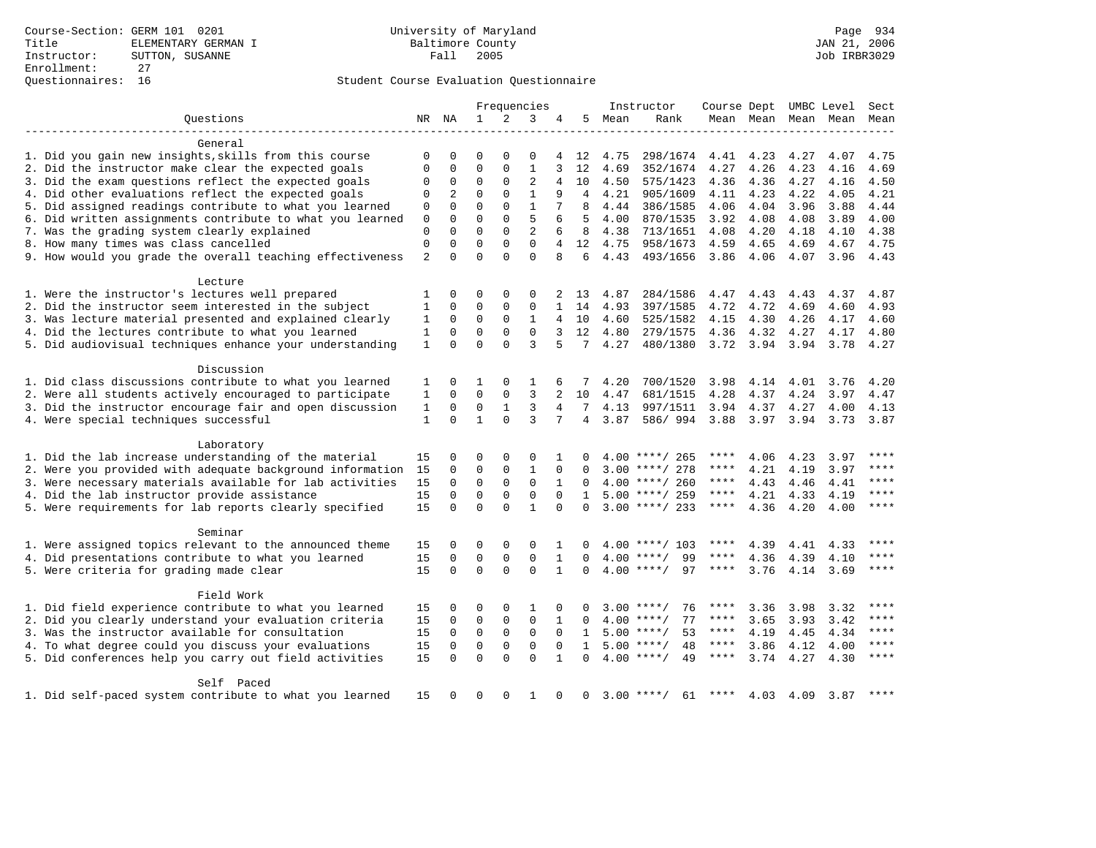|                                                           |                |             |                          |                | Frequencies                 |                |                 |      | Instructor         |             |                |      | Course Dept UMBC Level | Sect      |
|-----------------------------------------------------------|----------------|-------------|--------------------------|----------------|-----------------------------|----------------|-----------------|------|--------------------|-------------|----------------|------|------------------------|-----------|
| Ouestions                                                 |                | NR NA       | $\mathbf{1}$             | $\overline{a}$ | 3                           | 4              | 5               | Mean | Rank               |             |                |      | Mean Mean Mean Mean    | Mean      |
| General                                                   |                |             |                          |                |                             |                |                 |      |                    |             |                |      |                        |           |
| 1. Did you gain new insights, skills from this course     | 0              | 0           | $\mathbf 0$              | $\mathbf 0$    | 0                           | 4              | 12              | 4.75 | 298/1674           | 4.41        | 4.23           | 4.27 | 4.07                   | 4.75      |
| 2. Did the instructor make clear the expected goals       | 0              | 0           | $\mathbf{0}$             | $\mathbf 0$    | $\mathbf{1}$                | 3              | 12              | 4.69 | 352/1674           | 4.27        | 4.26           | 4.23 | 4.16                   | 4.69      |
| 3. Did the exam questions reflect the expected goals      | 0              | $\mathbf 0$ | $\mathbf 0$              | $\mathbf 0$    | $\overline{2}$              | $\overline{4}$ | 10              | 4.50 | 575/1423           | 4.36        | 4.36           | 4.27 | 4.16                   | 4.50      |
| 4. Did other evaluations reflect the expected goals       | $\mathbf 0$    | 2           | $\mathbf{0}$             | $\Omega$       | $\mathbf{1}$                | 9              | 4               | 4.21 | 905/1609           | 4.11        | 4.23           | 4.22 | 4.05                   | 4.21      |
| 5. Did assigned readings contribute to what you learned   | 0              | $\Omega$    | $\Omega$                 | $\Omega$       | $\mathbf{1}$                |                | 8               | 4.44 | 386/1585           | 4.06        | 4.04           | 3.96 | 3.88                   | 4.44      |
| 6. Did written assignments contribute to what you learned | $\mathbf 0$    | $\mathbf 0$ | $\Omega$                 | $\Omega$       | 5                           | 6              | .5              | 4.00 | 870/1535           | 3.92        | 4.08           | 4.08 | 3.89                   | 4.00      |
| 7. Was the grading system clearly explained               | $\mathbf 0$    | $\Omega$    | $\Omega$                 | $\mathbf 0$    | $\overline{2}$              | 6              | 8               | 4.38 | 713/1651           | 4.08        | 4.20           | 4.18 | 4.10                   | 4.38      |
| 8. How many times was class cancelled                     | $\mathbf 0$    | $\mathbf 0$ | $\mathbf{0}$             | $\Omega$       | $\Omega$                    | $\overline{4}$ | 12              | 4.75 | 958/1673           | 4.59        | 4.65           | 4.69 | 4.67                   | 4.75      |
| 9. How would you grade the overall teaching effectiveness | $\overline{2}$ | $\Omega$    | $\Omega$                 | $\Omega$       | $\Omega$                    | $\mathsf{R}$   | 6               | 4.43 | 493/1656           | 3.86        | 4.06           | 4.07 |                        | 3.96 4.43 |
|                                                           |                |             |                          |                |                             |                |                 |      |                    |             |                |      |                        |           |
| Lecture                                                   |                |             |                          |                |                             |                |                 |      |                    |             |                |      |                        |           |
| 1. Were the instructor's lectures well prepared           | 1              | $\Omega$    | $\Omega$<br>$\mathbf{0}$ | $\Omega$       | $\Omega$                    | 2              | 13              | 4.87 | 284/1586           | 4.47        | 4.43           | 4.43 | 4.37                   | 4.87      |
| 2. Did the instructor seem interested in the subject      | $\mathbf{1}$   | $\mathbf 0$ |                          | $\mathbf 0$    | $\mathbf 0$                 | $\mathbf{1}$   | 14              | 4.93 | 397/1585           | 4.72        | 4.72           | 4.69 | 4.60                   | 4.93      |
| 3. Was lecture material presented and explained clearly   | 1              | 0           | $\mathbf 0$              | $\mathbf 0$    | $\mathbf{1}$<br>$\mathbf 0$ | $\overline{4}$ | 10              | 4.60 | 525/1582           | 4.15        | 4.30           | 4.26 | 4.17                   | 4.60      |
| 4. Did the lectures contribute to what you learned        | $\mathbf{1}$   | $\mathbf 0$ | $\mathbf 0$              | $\mathbf 0$    |                             | 3              | 12              | 4.80 | 279/1575           | 4.36        | 4.32           | 4.27 | 4.17                   | 4.80      |
| 5. Did audiovisual techniques enhance your understanding  | $\mathbf{1}$   | $\Omega$    | $\Omega$                 | $\Omega$       | 3                           | 5              | 7               | 4.27 | 480/1380           |             | 3.72 3.94 3.94 |      | 3.78                   | 4.27      |
| Discussion                                                |                |             |                          |                |                             |                |                 |      |                    |             |                |      |                        |           |
| 1. Did class discussions contribute to what you learned   | 1              | 0           | 1                        | $\mathbf 0$    | 1                           | 6              | 7               | 4.20 | 700/1520           | 3.98        | 4.14           | 4.01 | 3.76                   | 4.20      |
| 2. Were all students actively encouraged to participate   | 1              | $\mathbf 0$ | $\mathbf{0}$             | $\mathbf 0$    | 3                           | 2              | 10              | 4.47 | 681/1515           | 4.28        | 4.37           | 4.24 | 3.97                   | 4.47      |
| 3. Did the instructor encourage fair and open discussion  | 1              | $\mathbf 0$ | $\mathbf 0$              | $\mathbf{1}$   | 3                           | 4              | $7\overline{ }$ | 4.13 | 997/1511           | 3.94        | 4.37           | 4.27 | 4.00                   | 4.13      |
| 4. Were special techniques successful                     | $\mathbf{1}$   | $\Omega$    | $\mathbf{1}$             | $\Omega$       | 3                           | 7              | 4               | 3.87 | 586/994            | 3.88        | 3.97 3.94      |      | 3.73                   | 3.87      |
| Laboratory                                                |                |             |                          |                |                             |                |                 |      |                    |             |                |      |                        |           |
| 1. Did the lab increase understanding of the material     | 15             | 0           | $\mathbf 0$              | $\mathbf 0$    | 0                           |                |                 |      | $4.00$ ****/ 265   | ****        | 4.06           | 4.23 | 3.97                   | $***$     |
| 2. Were you provided with adequate background information | 15             | $\mathbf 0$ | $\mathbf 0$              | $\mathbf 0$    | $\mathbf{1}$                | 0              | $\Omega$        |      | $3.00$ ****/ 278   | ****        | 4.21           | 4.19 | 3.97                   | $***$     |
| 3. Were necessary materials available for lab activities  | 15             | $\mathbf 0$ | $\mathbf 0$              | $\mathbf 0$    | $\mathbf 0$                 | 1              | $\Omega$        |      | $4.00$ ****/ 260   | ****        | 4.43           | 4.46 | 4.41                   |           |
| 4. Did the lab instructor provide assistance              | 15             | $\mathbf 0$ | $\mathbf 0$              | $\mathbf 0$    | $\mathbf{0}$                | $\Omega$       | $\mathbf{1}$    |      | $5.00$ ****/ 259   | $***$ * * * | 4.21           | 4.33 | 4.19                   | $***$     |
| 5. Were requirements for lab reports clearly specified    | 15             | $\Omega$    | $\Omega$                 | $\Omega$       | $\mathbf{1}$                | $\Omega$       | $\Omega$        |      | $3.00$ ****/ 233   | ****        | 4.36           | 4.20 | 4.00                   | ****      |
| Seminar                                                   |                |             |                          |                |                             |                |                 |      |                    |             |                |      |                        |           |
| 1. Were assigned topics relevant to the announced theme   | 15             | 0           | $\mathbf{0}$             | $\mathbf 0$    | 0                           | 1              |                 |      | $4.00$ ****/ 103   | ****        | 4.39           | 4.41 | 4.33                   | $***$     |
| 4. Did presentations contribute to what you learned       | 15             | $\mathbf 0$ | $\mathbf 0$              | $\mathbf 0$    | $\mathbf 0$                 | $\mathbf{1}$   | $\Omega$        | 4.00 | 99<br>$***/$       | ****        | 4.36           | 4.39 | 4.10                   | $***$     |
|                                                           | 15             | $\Omega$    | $\Omega$                 | $\Omega$       | $\Omega$                    | $\mathbf{1}$   | $\Omega$        |      | $4.00$ ****/<br>97 | $***$ * * * | 3.76           |      | 3.69                   | $* * * *$ |
| 5. Were criteria for grading made clear                   |                |             |                          |                |                             |                |                 |      |                    |             |                | 4.14 |                        |           |
| Field Work                                                |                |             |                          |                |                             |                |                 |      |                    |             |                |      |                        |           |
| 1. Did field experience contribute to what you learned    | 15             | 0           | $\mathbf 0$              | $\mathbf 0$    | 1                           | 0              | $\Omega$        |      | $3.00$ ****/<br>76 | ****        | 3.36           | 3.98 | 3.32                   |           |
| 2. Did you clearly understand your evaluation criteria    | 15             | $\mathbf 0$ | $\mathsf 0$              | $\mathsf 0$    | $\mathbf 0$                 | $\mathbf{1}$   | $\Omega$        | 4.00 | 77<br>$***/$       | ****        | 3.65           | 3.93 | 3.42                   | ****      |
| 3. Was the instructor available for consultation          | 15             | $\mathbf 0$ | $\mathbf 0$              | $\mathbf 0$    | $\mathbf 0$                 | $\Omega$       | 1               |      | 53<br>$5.00$ ****/ | ****        | 4.19           | 4.45 | 4.34                   | $***$     |
| 4. To what degree could you discuss your evaluations      | 15             | $\mathbf 0$ | $\mathbf 0$              | $\mathbf 0$    | $\mathbf 0$                 | $\Omega$       | $\mathbf{1}$    |      | $5.00$ ****/<br>48 | $***$ * * * | 3.86           | 4.12 | 4.00                   | $***$     |
| 5. Did conferences help you carry out field activities    | 15             | $\Omega$    | $\Omega$                 | $\Omega$       | $\Omega$                    | $\mathbf{1}$   | $\Omega$        |      | $4.00$ ****/<br>49 | ****        | 3.74           | 4.27 | 4.30                   | ****      |
| Self Paced                                                |                |             |                          |                |                             |                |                 |      |                    |             |                |      |                        |           |
| 1. Did self-paced system contribute to what you learned   | 15             | $\Omega$    | $\Omega$                 | $\Omega$       | -1                          | $\Omega$       | $\mathbf 0$     |      | $3.00$ ****/<br>61 | ****        | 4.03           | 4.09 | 3.87                   | ****      |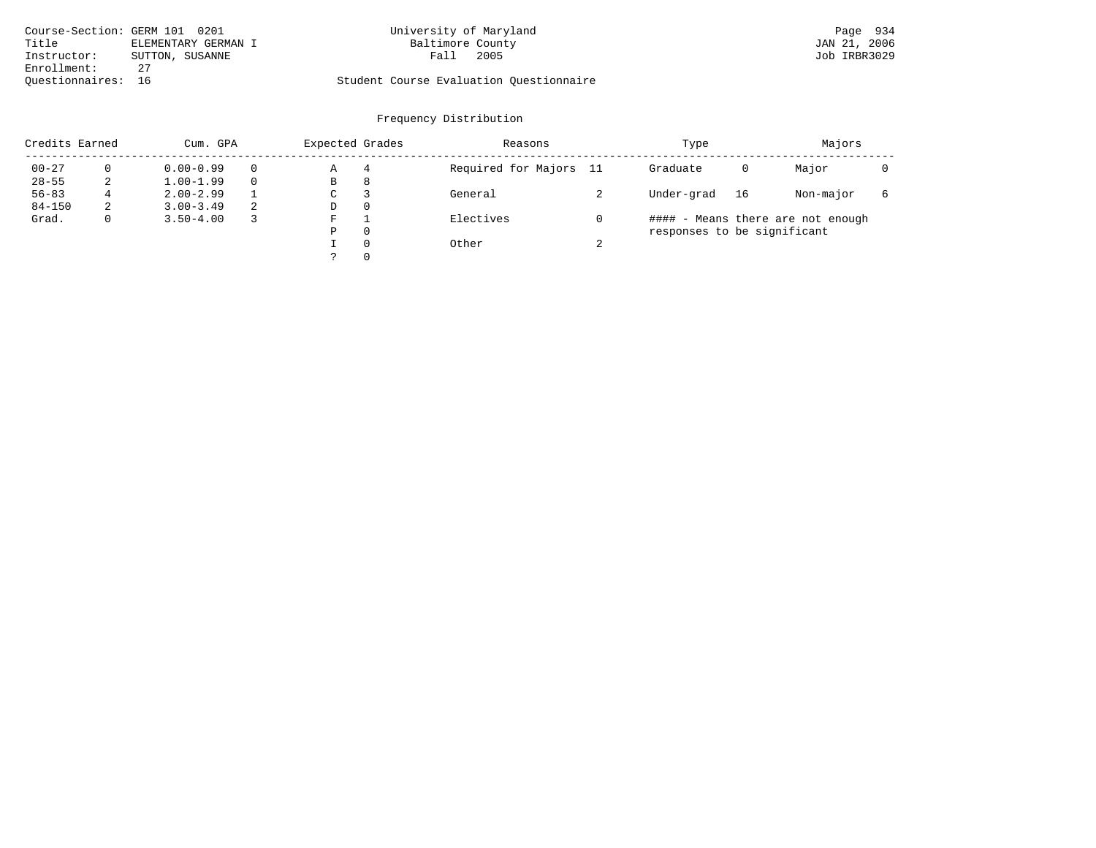| Course-Section: GERM 101 0201 |                     | University of Maryland                  | Page 934     |
|-------------------------------|---------------------|-----------------------------------------|--------------|
| Title                         | ELEMENTARY GERMAN I | Baltimore County                        | JAN 21, 2006 |
| Instructor:                   | SUTTON, SUSANNE     | 2005<br>Fall                            | Job IRBR3029 |
| Enrollment:                   |                     |                                         |              |
| Ouestionnaires: 16            |                     | Student Course Evaluation Ouestionnaire |              |

# University of Maryland **101 of Maryland** Page 934

| Credits Earned |              | Cum. GPA      |    |   | Expected Grades | Reasons                |        | Type                        |    | Majors                            |   |
|----------------|--------------|---------------|----|---|-----------------|------------------------|--------|-----------------------------|----|-----------------------------------|---|
| $00 - 27$      |              | $0.00 - 0.99$ |    | Α | 4               | Required for Majors 11 |        | Graduate                    | 0  | Major                             |   |
| $28 - 55$      | 2            | $1.00 - 1.99$ |    | В | 8               |                        |        |                             |    |                                   |   |
| $56 - 83$      | 4            | $2.00 - 2.99$ |    | C |                 | General                |        | Under-grad                  | 16 | Non-major                         | 6 |
| $84 - 150$     | 2            | $3.00 - 3.49$ | -2 | D | $\Omega$        |                        |        |                             |    |                                   |   |
| Grad.          | $\mathbf{0}$ | $3.50 - 4.00$ |    | F |                 | Electives              |        |                             |    | #### - Means there are not enough |   |
|                |              |               |    | Ρ | $\Omega$        |                        |        | responses to be significant |    |                                   |   |
|                |              |               |    |   | $\Omega$        | Other                  | $\sim$ |                             |    |                                   |   |
|                |              |               |    |   | $\Omega$        |                        |        |                             |    |                                   |   |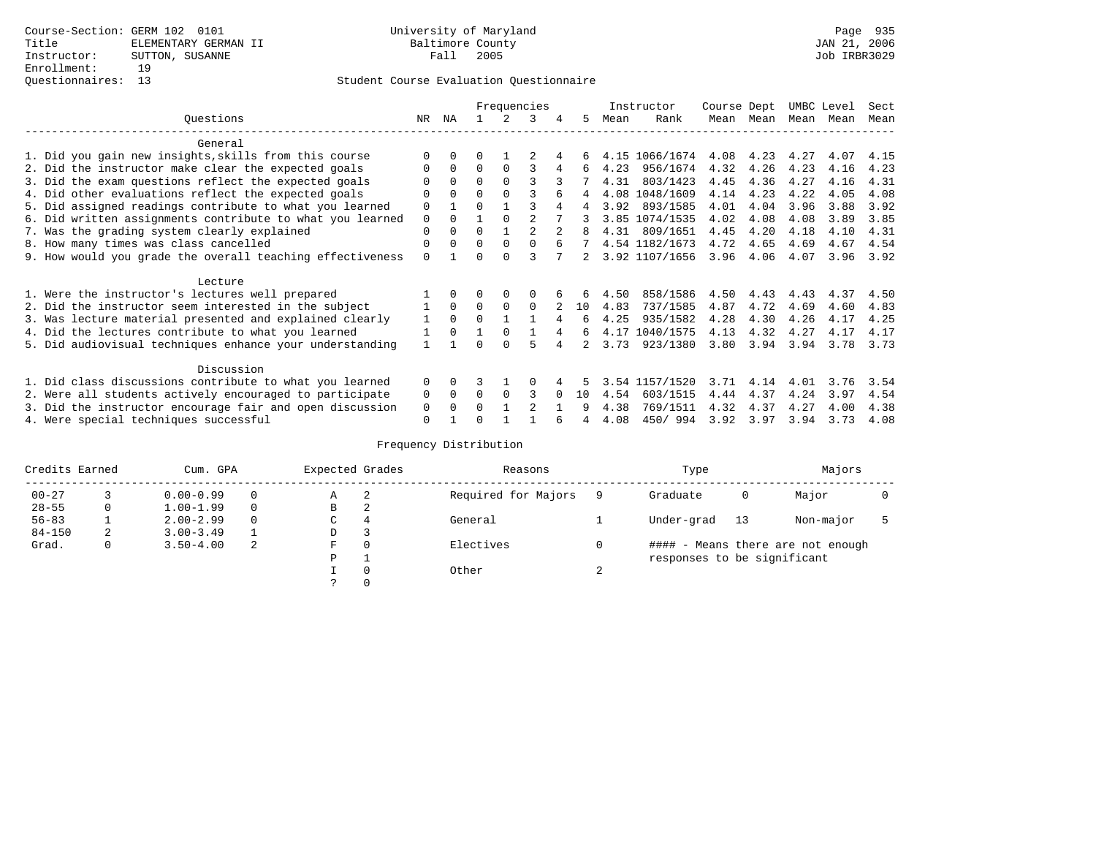|                                                           |             |          |          |          | Frequencies   |     | Instructor |                | Course Dept |           | UMBC Level |      | Sect |
|-----------------------------------------------------------|-------------|----------|----------|----------|---------------|-----|------------|----------------|-------------|-----------|------------|------|------|
| Ouestions                                                 | NR.         | ΝA       |          |          | 3             | 5.  | Mean       | Rank           |             | Mean Mean | Mean       | Mean | Mean |
| General                                                   |             |          |          |          |               |     |            |                |             |           |            |      |      |
| 1. Did you gain new insights, skills from this course     |             | $\Omega$ | 0        |          |               | 6   |            | 4.15 1066/1674 | 4.08        | 4.23      | 4.27       | 4.07 | 4.15 |
| 2. Did the instructor make clear the expected goals       | O           | $\Omega$ | $\Omega$ | $\Omega$ | ς             | 6   | 4.23       | 956/1674       | 4.32        | 4.26      | 4.23       | 4.16 | 4.23 |
| 3. Did the exam questions reflect the expected goals      |             | $\Omega$ | $\Omega$ | $\Omega$ | ς             |     | 4.31       | 803/1423       | 4.45        | 4.36      | 4.27       | 4.16 | 4.31 |
| 4. Did other evaluations reflect the expected goals       | O           | $\Omega$ | $\Omega$ | $\Omega$ |               | 4   |            | 4.08 1048/1609 | 4.14        | 4.23      | 4.22       | 4.05 | 4.08 |
| 5. Did assigned readings contribute to what you learned   | $\mathbf 0$ |          | $\Omega$ |          | ς             | 4   | 3.92       | 893/1585       | 4.01        | 4.04      | 3.96       | 3.88 | 3.92 |
| 6. Did written assignments contribute to what you learned | $\mathbf 0$ | $\Omega$ |          | $\Omega$ |               |     |            | 3.85 1074/1535 | 4.02        | 4.08      | 4.08       | 3.89 | 3.85 |
| 7. Was the grading system clearly explained               | $\mathbf 0$ | $\Omega$ | $\Omega$ |          |               |     | 4.31       | 809/1651       | 4.45        | 4.20      | 4.18       | 4.10 | 4.31 |
| 8. How many times was class cancelled                     | 0           | $\Omega$ | $\Omega$ | $\Omega$ | $\Omega$      |     |            | 4.54 1182/1673 | 4.72        | 4.65      | 4.69       | 4.67 | 4.54 |
| 9. How would you grade the overall teaching effectiveness | $\Omega$    |          | ∩        | ∩        |               |     |            | 3.92 1107/1656 | 3.96        | 4.06      | 4.07       | 3.96 | 3.92 |
| Lecture                                                   |             |          |          |          |               |     |            |                |             |           |            |      |      |
| 1. Were the instructor's lectures well prepared           |             |          |          | $\Omega$ |               |     | 4.50       | 858/1586       | 4.50        | 4.43      | 4.43       | 4.37 | 4.50 |
| 2. Did the instructor seem interested in the subject      |             | $\Omega$ | $\Omega$ | $\Omega$ | $\Omega$      | 10  | 4.83       | 737/1585       | 4.87        | 4.72      | 4.69       | 4.60 | 4.83 |
| 3. Was lecture material presented and explained clearly   | 1           | $\Omega$ | $\Omega$ |          |               | 6   | 4.25       | 935/1582       | 4.28        | 4.30      | 4.26       | 4.17 | 4.25 |
| 4. Did the lectures contribute to what you learned        |             | $\Omega$ |          | $\Omega$ |               | 6   |            | 4.17 1040/1575 | 4.13        | 4.32      | 4.27       | 4.17 | 4.17 |
| 5. Did audiovisual techniques enhance your understanding  |             |          |          |          |               |     | 3.73       | 923/1380       | 3.80        | 3.94      | 3.94       | 3.78 | 3.73 |
| Discussion                                                |             |          |          |          |               |     |            |                |             |           |            |      |      |
| 1. Did class discussions contribute to what you learned   | $\Omega$    | $\Omega$ | 3        |          |               |     | 3.54       | 1157/1520      | 3.71        | 4.14      | 4.01       | 3.76 | 3.54 |
| 2. Were all students actively encouraged to participate   |             |          | $\Omega$ | $\Omega$ | ς             | 1 O | 4.54       | 603/1515       | 4.44        | 4.37      | 4.24       | 3.97 | 4.54 |
| 3. Did the instructor encourage fair and open discussion  |             |          | 0        |          | $\mathcal{D}$ |     | 4.38       | 769/1511       | 4.32        | 4.37      | 4.27       | 4.00 | 4.38 |
| 4. Were special techniques successful                     | $\Omega$    |          |          |          |               |     | 4.08       | 450/994        | 3.92        | 3.97      | 3.94       | 3.73 | 4.08 |

| Credits Earned |   | Cum. GPA      |   |             | Expected Grades | Reasons             |        | Type                        |     | Majors                            |  |
|----------------|---|---------------|---|-------------|-----------------|---------------------|--------|-----------------------------|-----|-----------------------------------|--|
| $00 - 27$      |   | $0.00 - 0.99$ |   | А           | -2              | Required for Majors | 9      | Graduate                    | 0   | Major                             |  |
| $28 - 55$      | 0 | $1.00 - 1.99$ |   | В           | 2               |                     |        |                             |     |                                   |  |
| $56 - 83$      |   | $2.00 - 2.99$ |   | $\sim$<br>◡ | 4               | General             |        | Under-grad                  | -13 | Non-major                         |  |
| $84 - 150$     | 2 | $3.00 - 3.49$ |   | D           | 3               |                     |        |                             |     |                                   |  |
| Grad.          | 0 | $3.50 - 4.00$ | 2 | F           | 0               | Electives           | 0      |                             |     | #### - Means there are not enough |  |
|                |   |               |   | Ρ           |                 |                     |        | responses to be significant |     |                                   |  |
|                |   |               |   |             | $\Omega$        | Other               | $\sim$ |                             |     |                                   |  |
|                |   |               |   |             |                 |                     |        |                             |     |                                   |  |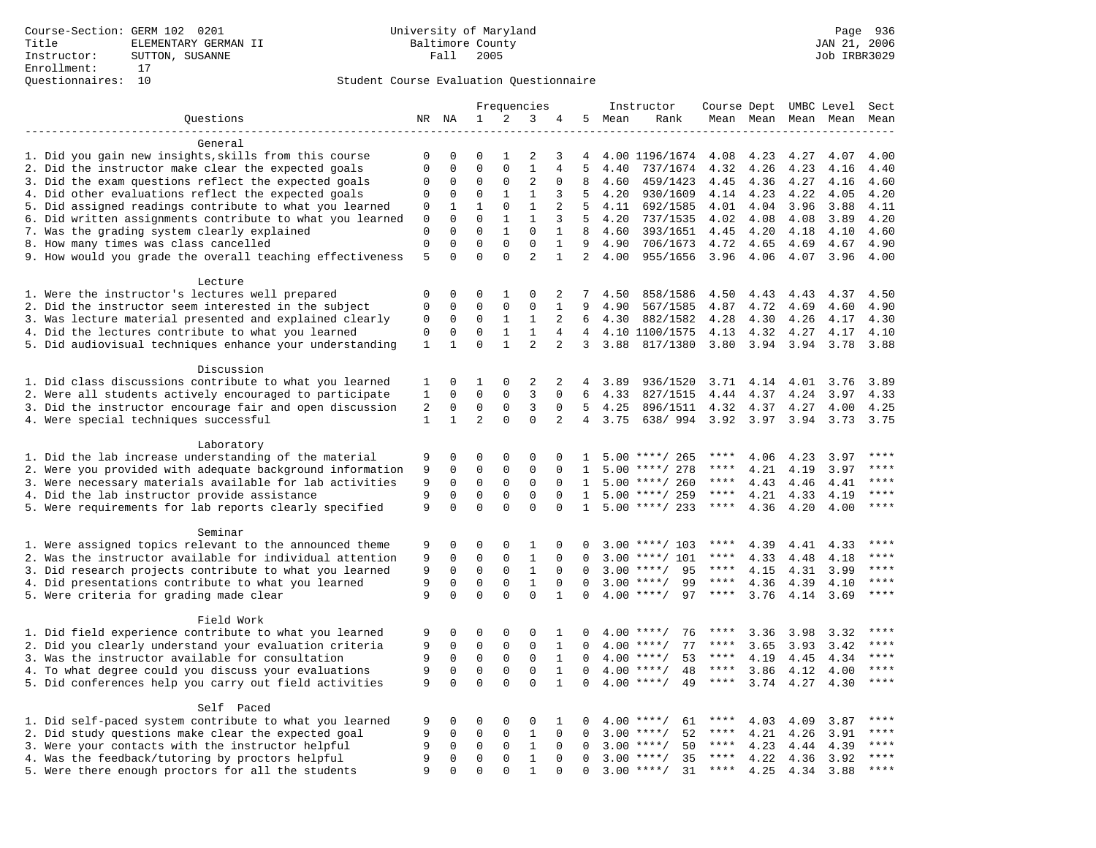|                                                                                                                     |              |                  |                            |                            | Frequencies                   |                |                |      | Instructor                    | Course Dept UMBC Level |                     |              |              | Sect  |
|---------------------------------------------------------------------------------------------------------------------|--------------|------------------|----------------------------|----------------------------|-------------------------------|----------------|----------------|------|-------------------------------|------------------------|---------------------|--------------|--------------|-------|
| Questions                                                                                                           |              | NR NA            | $\mathbf{1}$               | 2                          | 3                             | 4              | 5              | Mean | Rank                          |                        | Mean Mean Mean Mean |              |              | Mean  |
|                                                                                                                     |              |                  |                            |                            |                               |                |                |      |                               |                        |                     |              |              |       |
| General                                                                                                             |              |                  |                            |                            |                               |                |                |      |                               |                        |                     |              |              |       |
| 1. Did you gain new insights, skills from this course                                                               | $\Omega$     | 0                | $\Omega$                   | 1                          | $\overline{2}$                | 3              | 4              |      | 4.00 1196/1674                | 4.08                   | 4.23                | 4.27         | 4.07         | 4.00  |
| 2. Did the instructor make clear the expected goals                                                                 | $\Omega$     | 0                | $\Omega$                   | 0                          | $1\,$                         | 4              | 5              | 4.40 | 737/1674                      | 4.32                   | 4.26                | 4.23         | 4.16         | 4.40  |
| 3. Did the exam questions reflect the expected goals                                                                | 0            | $\mathbf 0$      | $\Omega$                   | 0                          | $\overline{2}$                | $\mathbf 0$    | 8              | 4.60 | 459/1423                      | 4.45                   | 4.36                | 4.27         | 4.16         | 4.60  |
| 4. Did other evaluations reflect the expected goals                                                                 | 0            | 0                | $\mathbf{0}$               | $\mathbf{1}$               | $\mathbf{1}$                  | 3              | 5              | 4.20 | 930/1609                      | 4.14                   | 4.23                | 4.22         | 4.05         | 4.20  |
| 5. Did assigned readings contribute to what you learned                                                             | 0            | $\mathbf{1}$     | $\mathbf{1}$               | $\mathbf 0$                | $\mathbf{1}$                  | $\overline{2}$ | 5              | 4.11 | 692/1585                      | 4.01                   | 4.04                | 3.96         | 3.88         | 4.11  |
| 6. Did written assignments contribute to what you learned                                                           | $\mathbb O$  | $\Omega$         | $\Omega$                   | $\mathbf{1}$               | $\mathbf{1}$                  | 3              | 5              | 4.20 | 737/1535                      | 4.02                   | 4.08                | 4.08         | 3.89         | 4.20  |
| 7. Was the grading system clearly explained                                                                         | $\mathbf 0$  | 0                | $\Omega$                   | $\mathbf{1}$               | $\mathbf 0$                   | $\mathbf{1}$   | 8              | 4.60 | 393/1651                      | 4.45                   | 4.20                | 4.18         | 4.10         | 4.60  |
| 8. How many times was class cancelled                                                                               | $\mathbf 0$  | 0                | $\mathbf{0}$               | $\mathbf 0$                | $\mathbf 0$<br>$\overline{a}$ | $\mathbf{1}$   | 9              | 4.90 | 706/1673                      | 4.72                   | 4.65                | 4.69         | 4.67         | 4.90  |
| 9. How would you grade the overall teaching effectiveness                                                           | 5            | $\Omega$         | $\Omega$                   | $\Omega$                   |                               | $\mathbf{1}$   | $\overline{2}$ | 4.00 | 955/1656                      | 3.96                   | 4.06                | 4.07         | 3.96         | 4.00  |
| Lecture                                                                                                             |              |                  |                            |                            |                               |                |                |      |                               |                        |                     |              |              |       |
| 1. Were the instructor's lectures well prepared                                                                     | $\mathsf 0$  | 0                | $\Omega$                   | 1                          | $\mathbf 0$                   | 2              | 7              | 4.50 | 858/1586                      | 4.50                   | 4.43                | 4.43         | 4.37         | 4.50  |
| 2. Did the instructor seem interested in the subject                                                                | 0            | $\mathbf 0$      | $\mathbf{0}$               | $\mathbf 0$                | $\mathbf 0$                   | $\mathbf{1}$   | 9              | 4.90 | 567/1585                      | 4.87                   | 4.72                | 4.69         | 4.60         | 4.90  |
| 3. Was lecture material presented and explained clearly                                                             | 0            | 0                | $\mathbf 0$                | 1                          | $\mathbf{1}$                  | 2              | 6              | 4.30 | 882/1582                      | 4.28                   | 4.30                | 4.26         | 4.17         | 4.30  |
| 4. Did the lectures contribute to what you learned                                                                  | 0            | 0                | $\Omega$                   | $\mathbf{1}$               | $\mathbf{1}$                  | 4              | $\overline{4}$ |      | 4.10 1100/1575                | 4.13                   | 4.32                | 4.27         | 4.17         | 4.10  |
| 5. Did audiovisual techniques enhance your understanding                                                            | $\mathbf 1$  | $\mathbf{1}$     | $\Omega$                   | $\mathbf{1}$               | $\overline{a}$                | $\overline{a}$ | 3              | 3.88 | 817/1380                      | 3.80                   | 3.94                | 3.94         | 3.78         | 3.88  |
|                                                                                                                     |              |                  |                            |                            |                               |                |                |      |                               |                        |                     |              |              |       |
| Discussion                                                                                                          |              |                  |                            |                            |                               |                |                |      |                               |                        |                     |              |              |       |
| 1. Did class discussions contribute to what you learned                                                             | 1            | 0                | 1                          | 0                          | 2                             | 2              | 4              | 3.89 | 936/1520                      | 3.71                   | 4.14                | 4.01         | 3.76         | 3.89  |
| 2. Were all students actively encouraged to participate                                                             | $\mathbf{1}$ | 0                | $\Omega$                   | $\mathbf 0$                | 3                             | $\Omega$       | 6              | 4.33 | 827/1515                      | 4.44                   | 4.37                | 4.24         | 3.97         | 4.33  |
| 3. Did the instructor encourage fair and open discussion                                                            | 2            | $\mathbf 0$      | $\mathbf 0$                | $\mathbf 0$                | 3                             | $\Omega$       | 5              | 4.25 | 896/1511                      | 4.32                   | 4.37                | 4.27         | 4.00         | 4.25  |
| 4. Were special techniques successful                                                                               | $\mathbf{1}$ | $\mathbf{1}$     | $\overline{a}$             | $\Omega$                   | $\Omega$                      | $\overline{2}$ | $\overline{4}$ | 3.75 | 638/994                       | 3.92                   | 3.97                | 3.94         | 3.73         | 3.75  |
|                                                                                                                     |              |                  |                            |                            |                               |                |                |      |                               |                        |                     |              |              |       |
| Laboratory                                                                                                          |              |                  |                            |                            |                               |                |                |      |                               |                        |                     |              |              |       |
| 1. Did the lab increase understanding of the material                                                               | 9            | 0                | $\mathbf 0$                | 0                          | $\mathbf 0$                   | $\mathbf 0$    | 1              |      | $5.00$ ****/ 265              | ****                   | 4.06                | 4.23         | 3.97         |       |
| 2. Were you provided with adequate background information                                                           | 9            | 0                | $\mathbf{0}$               | 0                          | $\mathbf 0$                   | $\Omega$       | 1              |      | $5.00$ ****/ 278              | ****                   | 4.21                | 4.19         | 3.97         | ****  |
| 3. Were necessary materials available for lab activities                                                            | 9            | $\mathbf 0$      | $\mathbf 0$                | $\mathsf 0$                | $\mathsf 0$                   | $\Omega$       | $\mathbf{1}$   |      | $5.00$ ****/ 260              | ****                   | 4.43                | 4.46         | 4.41         | ****  |
| 4. Did the lab instructor provide assistance                                                                        | 9            | $\mathbf 0$      | $\Omega$                   | 0                          | $\mathbf 0$                   | $\mathbf 0$    | $\mathbf{1}$   |      | $5.00$ ****/ 259              | $***$ * * *            | 4.21                | 4.33         | 4.19         | $***$ |
| 5. Were requirements for lab reports clearly specified                                                              | 9            | 0                | $\mathbf 0$                | $\Omega$                   | $\mathbf 0$                   | $\Omega$       | $\mathbf{1}$   |      | $5.00$ ****/ 233              | ****                   | 4.36                | 4.20         | 4.00         | ****  |
|                                                                                                                     |              |                  |                            |                            |                               |                |                |      |                               |                        |                     |              |              |       |
| Seminar                                                                                                             |              |                  |                            |                            |                               | $\Omega$       | O              |      |                               | ****                   |                     |              |              | $***$ |
| 1. Were assigned topics relevant to the announced theme<br>2. Was the instructor available for individual attention | 9<br>9       | 0<br>$\mathbf 0$ | $\mathbf 0$<br>$\mathbf 0$ | $\mathsf 0$<br>$\mathbf 0$ | 1<br>$\mathbf{1}$             | $\mathbf 0$    | 0              | 3.00 | $3.00$ ****/ 103<br>****/ 101 | ****                   | 4.39<br>4.33        | 4.41         | 4.33<br>4.18 | ****  |
| 3. Did research projects contribute to what you learned                                                             | 9            | $\mathbf 0$      | $\mathbf{0}$               | $\mathbf 0$                | $1\,$                         | $\mathbf 0$    | $\Omega$       |      | $3.00$ ****/<br>95            | $***$ * * *            | 4.15                | 4.48<br>4.31 | 3.99         | ****  |
| 4. Did presentations contribute to what you learned                                                                 | 9            | $\mathbf 0$      | $\mathbf 0$                | $\mathbf 0$                | $\mathbf{1}$                  | $\Omega$       | $\Omega$       | 3.00 | $***$ /<br>99                 | $***$ * * *            | 4.36                | 4.39         | 4.10         | $***$ |
| 5. Were criteria for grading made clear                                                                             | 9            | $\Omega$         | $\Omega$                   | $\Omega$                   | $\Omega$                      | $\mathbf{1}$   | $\Omega$       |      | $4.00$ ****/<br>97            | ****                   | 3.76                | 4.14         | 3.69         | ****  |
|                                                                                                                     |              |                  |                            |                            |                               |                |                |      |                               |                        |                     |              |              |       |
| Field Work                                                                                                          |              |                  |                            |                            |                               |                |                |      |                               |                        |                     |              |              |       |
| 1. Did field experience contribute to what you learned                                                              | 9            | 0                | 0                          | 0                          | $\mathbf 0$                   | 1              | 0              |      | $4.00$ ****/<br>76            | ****                   | 3.36                | 3.98         | 3.32         | ****  |
| 2. Did you clearly understand your evaluation criteria                                                              | 9            | $\mathbf 0$      | $\mathbf 0$                | $\mathbf 0$                | $\mathbf 0$                   | $\mathbf{1}$   | $\Omega$       | 4.00 | 77<br>$***$ /                 | ****                   | 3.65                | 3.93         | 3.42         | ****  |
| 3. Was the instructor available for consultation                                                                    | 9            | $\mathbf 0$      | $\mathbf 0$                | $\mathbf 0$                | $\mathbf 0$                   | $\mathbf{1}$   | $\Omega$       | 4.00 | $***/$<br>53                  | ****                   | 4.19                | 4.45         | 4.34         | ****  |
| 4. To what degree could you discuss your evaluations                                                                | 9            | 0                | $\mathsf 0$                | 0                          | $\mathsf 0$                   | $\mathbf{1}$   | $\Omega$       |      | $4.00$ ****/<br>48            | ****                   | 3.86                | 4.12         | 4.00         | $***$ |
| 5. Did conferences help you carry out field activities                                                              | 9            | 0                | $\mathbf 0$                | $\Omega$                   | $\Omega$                      | $\mathbf{1}$   | $\Omega$       | 4.00 | $***$ /<br>49                 | $***$ * *              | 3.74                | 4.27         | 4.30         | $***$ |
|                                                                                                                     |              |                  |                            |                            |                               |                |                |      |                               |                        |                     |              |              |       |
| Self Paced                                                                                                          |              |                  |                            |                            |                               |                |                |      |                               |                        |                     |              |              |       |
| 1. Did self-paced system contribute to what you learned                                                             | 9            | 0                | 0                          | 0                          | $\mathbf 0$                   | 1              | 0              |      | $4.00$ ****/<br>61            | ****                   | 4.03                | 4.09         | 3.87         | ****  |
| 2. Did study questions make clear the expected goal                                                                 | 9            | $\Omega$         | $\Omega$                   | $\Omega$                   | $1\,$                         | $\Omega$       | $\Omega$       |      | 52<br>$3.00$ ****/            | ****                   | 4.21                | 4.26         | 3.91         | ****  |
| 3. Were your contacts with the instructor helpful                                                                   | 9            | $\mathbf 0$      | $\mathbf 0$                | $\mathsf 0$                | $\mathbf{1}$                  | $\mathbf 0$    | 0              | 3.00 | 50<br>$***/$                  | ****                   | 4.23                | 4.44         | 4.39         | ****  |
| 4. Was the feedback/tutoring by proctors helpful                                                                    | 9            | 0                | $\mathsf 0$                | $\mathbf 0$                | $\mathbf{1}$                  | $\Omega$       | $\Omega$       | 3.00 | $***/$<br>35                  | ****                   | 4.22                | 4.36         | 3.92         | ****  |
| 5. Were there enough proctors for all the students                                                                  | 9            | $\Omega$         | $\Omega$                   | $\Omega$                   | $\mathbf{1}$                  | $\Omega$       | $\Omega$       |      | $3.00$ ****/<br>31            | $***$ * * *            | 4.25                | 4.34         | 3.88         | ****  |
|                                                                                                                     |              |                  |                            |                            |                               |                |                |      |                               |                        |                     |              |              |       |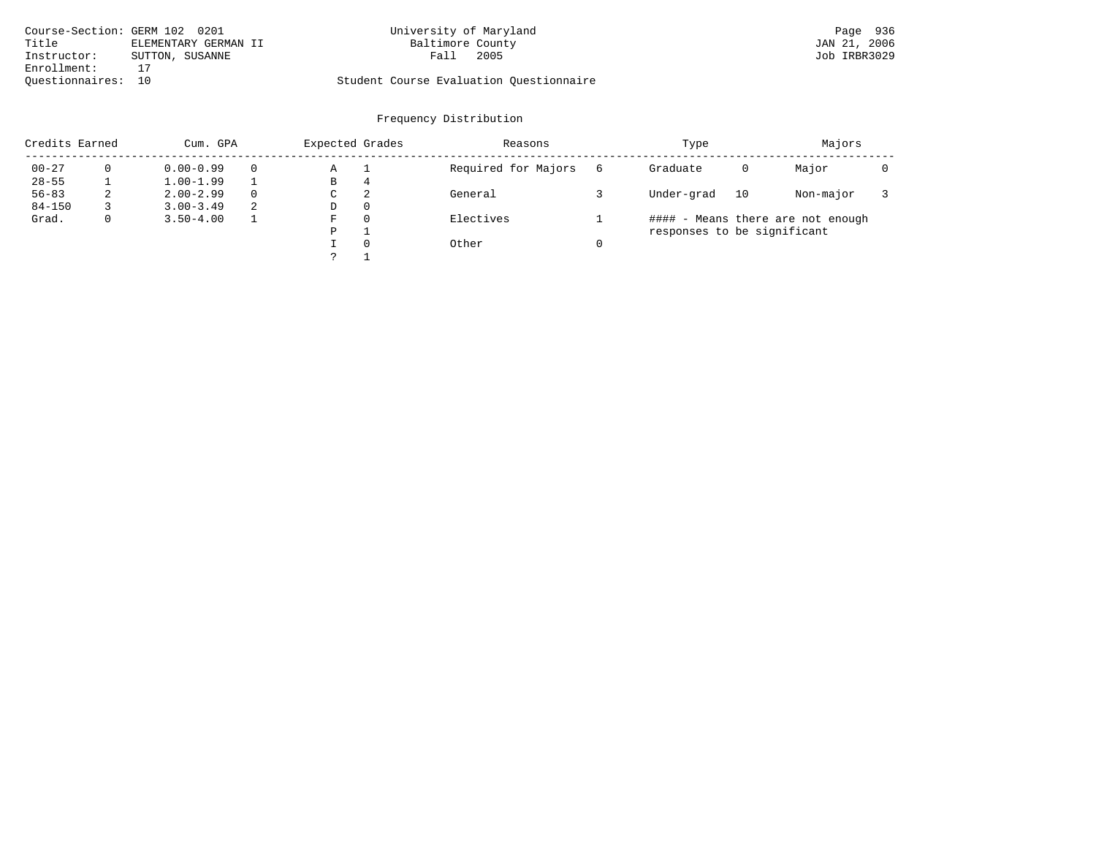| Course-Section: GERM 102 0201 |                      | University of Maryland                  | Page 936     |
|-------------------------------|----------------------|-----------------------------------------|--------------|
| Title                         | ELEMENTARY GERMAN II | Baltimore County                        | JAN 21, 2006 |
| Instructor:                   | SUTTON, SUSANNE      | 2005<br>Fall                            | Job IRBR3029 |
| Enrollment:                   |                      |                                         |              |
| Ouestionnaires: 10            |                      | Student Course Evaluation Questionnaire |              |

# University of Maryland **102 0201 0201 University of Maryland**

| Credits Earned |   | Cum. GPA      |          |   | Expected Grades | Reasons             |   | Type                        |    | Majors                            |  |
|----------------|---|---------------|----------|---|-----------------|---------------------|---|-----------------------------|----|-----------------------------------|--|
| $00 - 27$      |   | $0.00 - 0.99$ |          | Α |                 | Required for Majors | 6 | Graduate                    | 0  | Major                             |  |
| $28 - 55$      |   | $1.00 - 1.99$ |          | В | 4               |                     |   |                             |    |                                   |  |
| $56 - 83$      | 2 | $2.00 - 2.99$ | $\Omega$ | C | 2               | General             |   | Under-grad                  | 10 | Non-major                         |  |
| $84 - 150$     |   | $3.00 - 3.49$ | -2.      | D | $\Omega$        |                     |   |                             |    |                                   |  |
| Grad.          | 0 | $3.50 - 4.00$ |          | F | $\Omega$        | Electives           |   |                             |    | #### - Means there are not enough |  |
|                |   |               |          | P |                 |                     |   | responses to be significant |    |                                   |  |
|                |   |               |          |   | $\Omega$        | Other               |   |                             |    |                                   |  |
|                |   |               |          |   |                 |                     |   |                             |    |                                   |  |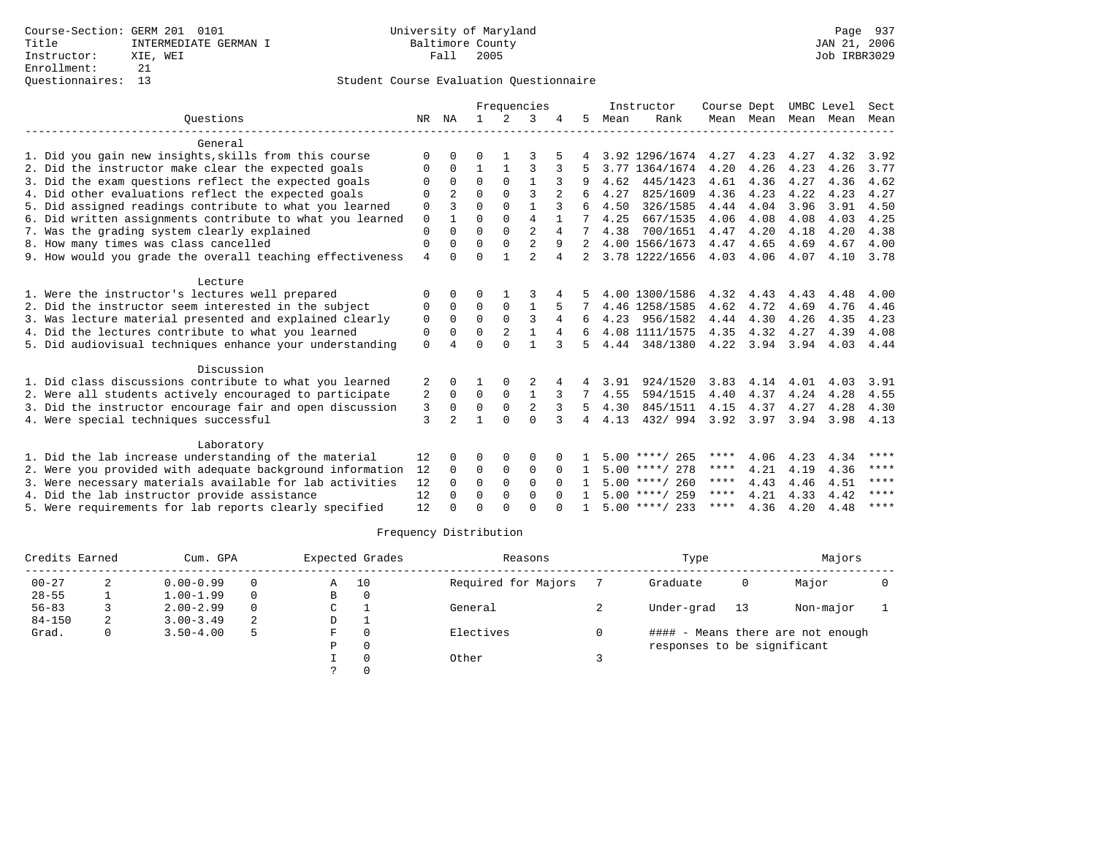|                                                           |                |                |              |                | Frequencies    |          |                |      | Instructor       | Course Dept |      |                     | UMBC Level | Sect        |
|-----------------------------------------------------------|----------------|----------------|--------------|----------------|----------------|----------|----------------|------|------------------|-------------|------|---------------------|------------|-------------|
| Ouestions                                                 | NR             | ΝA             | $\mathbf{1}$ | 2              | 3              |          | 5              | Mean | Rank             |             |      | Mean Mean Mean Mean |            | Mean        |
| General                                                   |                |                |              |                |                |          |                |      |                  |             |      |                     |            |             |
| 1. Did you gain new insights, skills from this course     | $\Omega$       | O              | O            |                |                |          |                |      | 3.92 1296/1674   | 4.27        | 4.23 | 4.27                | 4.32       | 3.92        |
| 2. Did the instructor make clear the expected goals       | 0              | $\Omega$       | 1            | 1              | 3              | 3        |                | 3.77 | 1364/1674        | 4.20        | 4.26 | 4.23                | 4.26       | 3.77        |
| 3. Did the exam questions reflect the expected goals      | $\Omega$       | $\Omega$       | $\Omega$     | $\Omega$       | $\mathbf{1}$   |          |                | 4.62 | 445/1423         | 4.61        | 4.36 | 4.27                | 4.36       | 4.62        |
| 4. Did other evaluations reflect the expected goals       | $\Omega$       | $\mathfrak{D}$ | $\Omega$     | $\Omega$       | ς              |          |                | 4.27 | 825/1609         | 4.36        | 4.23 | 4.22                | 4.23       | 4.27        |
| 5. Did assigned readings contribute to what you learned   | 0              | 3              | $\Omega$     | $\Omega$       | $\mathbf{1}$   | 3        | 6              | 4.50 | 326/1585         | 4.44        | 4.04 | 3.96                | 3.91       | 4.50        |
| 6. Did written assignments contribute to what you learned | 0              | $\mathbf{1}$   | $\Omega$     | $\Omega$       | $\overline{4}$ |          | 7              | 4.25 | 667/1535         | 4.06        | 4.08 | 4.08                | 4.03       | 4.25        |
| 7. Was the grading system clearly explained               | $\mathbf 0$    | $\Omega$       | $\Omega$     | $\Omega$       | $\overline{a}$ | 4        |                | 4.38 | 700/1651         | 4.47        | 4.20 | 4.18                | 4.20       | 4.38        |
| 8. How many times was class cancelled                     | $\mathbf 0$    | $\Omega$       | $\Omega$     | $\Omega$       | $\overline{2}$ | 9        | $2^{1}$        |      | 4.00 1566/1673   | 4.47        | 4.65 | 4.69                | 4.67       | 4.00        |
| 9. How would you grade the overall teaching effectiveness | $\overline{4}$ | $\Omega$       | $\Omega$     | $\mathbf{1}$   | $\overline{a}$ | 4        | $\overline{a}$ |      | 3.78 1222/1656   | 4.03        | 4.06 | 4.07                | 4.10       | 3.78        |
| Lecture                                                   |                |                |              |                |                |          |                |      |                  |             |      |                     |            |             |
| 1. Were the instructor's lectures well prepared           | 0              | $\Omega$       | O            |                |                |          |                |      | 4.00 1300/1586   | 4.32        | 4.43 | 4.43                | 4.48       | 4.00        |
| 2. Did the instructor seem interested in the subject      | 0              | $\Omega$       | $\Omega$     | $\mathbf 0$    | $\mathbf{1}$   |          |                |      | 4.46 1258/1585   | 4.62        | 4.72 | 4.69                | 4.76       | 4.46        |
| 3. Was lecture material presented and explained clearly   | $\Omega$       | $\Omega$       | $\Omega$     | $\Omega$       | 3              | 4        |                | 4.23 | 956/1582         | 4.44        | 4.30 | 4.26                | 4.35       | 4.23        |
| 4. Did the lectures contribute to what you learned        | $\mathbf 0$    | $\Omega$       | $\Omega$     | $\overline{2}$ | $\mathbf{1}$   | 4        |                |      | 4.08 1111/1575   | 4.35        | 4.32 | 4.27                | 4.39       | 4.08        |
| 5. Did audiovisual techniques enhance your understanding  | $\Omega$       |                | $\Omega$     | $\cap$         | $\mathbf{1}$   | 3        |                | 4.44 | 348/1380         | 4.22        | 3.94 | 3.94                | 4.03       | 4.44        |
| Discussion                                                |                |                |              |                |                |          |                |      |                  |             |      |                     |            |             |
| 1. Did class discussions contribute to what you learned   | 2              | 0              |              |                |                |          |                | 3.91 | 924/1520         | 3.83        | 4.14 | 4.01                | 4.03       | 3.91        |
| 2. Were all students actively encouraged to participate   | 2              | $\Omega$       | $\Omega$     | $\Omega$       | $\mathbf{1}$   | 3        | 7              | 4.55 | 594/1515         | 4.40        | 4.37 | 4.24                | 4.28       | 4.55        |
| 3. Did the instructor encourage fair and open discussion  | 3              | $\mathbf 0$    | $\mathbf 0$  | $\mathbf 0$    | $\overline{2}$ |          | 5              | 4.30 | 845/1511         | 4.15        | 4.37 | 4.27                | 4.28       | 4.30        |
| 4. Were special techniques successful                     | 3              | $\mathfrak{D}$ | 1            | $\Omega$       | $\Omega$       | 3        | 4              | 4.13 | 432/994          | 3.92 3.97   |      | 3.94                | 3.98       | 4.13        |
| Laboratory                                                |                |                |              |                |                |          |                |      |                  |             |      |                     |            |             |
| 1. Did the lab increase understanding of the material     | 12             | $\Omega$       | $\Omega$     | $\Omega$       | 0              |          |                |      | $5.00$ ****/ 265 | ****        | 4.06 | 4.23                | 4.34       | $***$ * * * |
| 2. Were you provided with adequate background information | 12             | $\Omega$       | $\Omega$     | $\mathbf 0$    | $\Omega$       | $\Omega$ | 1              |      | $5.00$ ****/ 278 | ****        | 4.21 | 4.19                | 4.36       | $***$ * * * |
| 3. Were necessary materials available for lab activities  | 12             | $\Omega$       | $\Omega$     | $\Omega$       | $\Omega$       | $\Omega$ |                |      | $5.00$ ****/ 260 | ****        | 4.43 | 4.46                | 4.51       | ****        |
| 4. Did the lab instructor provide assistance              | 12             | $\Omega$       | $\Omega$     | $\Omega$       | $\Omega$       | $\cap$   |                |      | $5.00$ ****/ 259 | $***$ * *   | 4.21 | 4.33                | 4.42       | ****        |
| 5. Were requirements for lab reports clearly specified    | 12             | $\Omega$       | $\Omega$     | $\cap$         | $\cap$         |          |                |      | $5.00$ ****/ 233 | ****        | 4.36 | 4.20                | 4.48       | ****        |

| Credits Earned |   | Cum. GPA      |          | Expected Grades | Reasons | Type                |                             | Majors |                                   |  |
|----------------|---|---------------|----------|-----------------|---------|---------------------|-----------------------------|--------|-----------------------------------|--|
| $00 - 27$      |   | $0.00 - 0.99$ | $\Omega$ | A               | 10      | Required for Majors | Graduate                    | 0      | Major                             |  |
| $28 - 55$      |   | $1.00 - 1.99$ | $\Omega$ | В               |         |                     |                             |        |                                   |  |
| $56 - 83$      |   | $2.00 - 2.99$ | $\Omega$ | C               |         | General             | Under-grad                  | 13     | Non-major                         |  |
| $84 - 150$     | 2 | $3.00 - 3.49$ | 2        | D               |         |                     |                             |        |                                   |  |
| Grad.          | 0 | $3.50 - 4.00$ | 5        | F               |         | Electives           |                             |        | #### - Means there are not enough |  |
|                |   |               |          | P               |         |                     | responses to be significant |        |                                   |  |
|                |   |               |          |                 |         | Other               |                             |        |                                   |  |
|                |   |               |          |                 |         |                     |                             |        |                                   |  |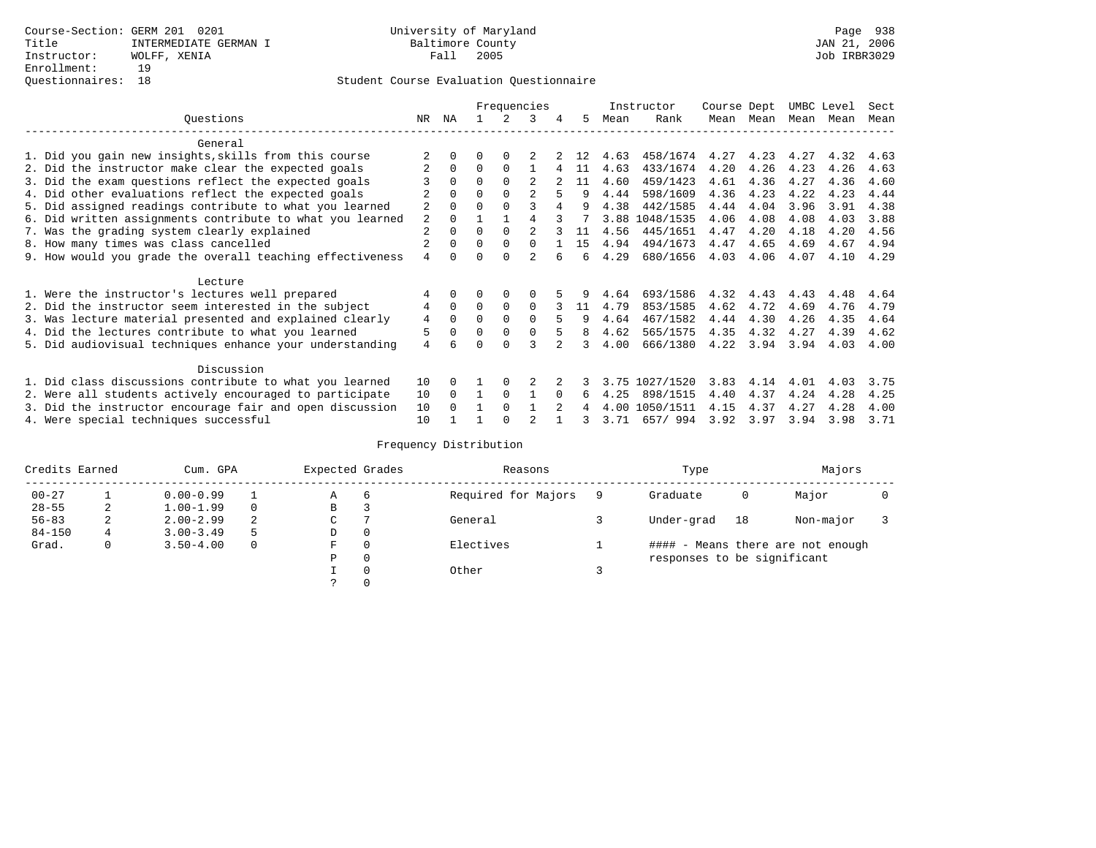|                                                           |                |          |          |             | Frequencies    |          |    |      | Instructor | Course Dept |      | UMBC Level |      | Sect |
|-----------------------------------------------------------|----------------|----------|----------|-------------|----------------|----------|----|------|------------|-------------|------|------------|------|------|
| Questions                                                 | NR.            | ΝA       |          |             | 3              | 4        | 5. | Mean | Rank       | Mean        | Mean | Mean       | Mean | Mean |
| General                                                   |                |          |          |             |                |          |    |      |            |             |      |            |      |      |
| 1. Did you gain new insights, skills from this course     |                |          | U        | $\Omega$    |                |          |    | 4.63 | 458/1674   | 4.27        | 4.23 | 4.27       | 4.32 | 4.63 |
| 2. Did the instructor make clear the expected goals       |                | $\Omega$ | $\Omega$ | $\Omega$    |                |          | 11 | 4.63 | 433/1674   | 4.20        | 4.26 | 4.23       | 4.26 | 4.63 |
| 3. Did the exam questions reflect the expected goals      |                | $\Omega$ | O        | $\Omega$    | $\mathfrak{D}$ |          | 11 | 4.60 | 459/1423   | 4.61        | 4.36 | 4.27       | 4.36 | 4.60 |
| 4. Did other evaluations reflect the expected goals       |                | $\Omega$ | O        | $\Omega$    |                |          | q  | 4.44 | 598/1609   | 4.36        | 4.23 | 4.22       | 4.23 | 4.44 |
| 5. Did assigned readings contribute to what you learned   | $\overline{2}$ |          |          |             |                |          |    | 4.38 | 442/1585   | 4.44        | 4.04 | 3.96       | 3.91 | 4.38 |
| 6. Did written assignments contribute to what you learned | 2              | $\Omega$ |          |             |                |          |    | 3.88 | 1048/1535  | 4.06        | 4.08 | 4.08       | 4.03 | 3.88 |
| 7. Was the grading system clearly explained               | 2              | $\Omega$ |          | $\Omega$    |                |          | 11 | 4.56 | 445/1651   | 4.47        | 4.20 | 4.18       | 4.20 | 4.56 |
| 8. How many times was class cancelled                     | 2              | $\Omega$ | 0        | $\Omega$    | 0              |          | 15 | 4.94 | 494/1673   | 4.47        | 4.65 | 4.69       | 4.67 | 4.94 |
| 9. How would you grade the overall teaching effectiveness | 4              |          |          | U           | $\mathfrak{D}$ |          | ี  | 4.29 | 680/1656   | 4.03        | 4.06 | 4.07       | 4.10 | 4.29 |
| Lecture                                                   |                |          |          |             |                |          |    |      |            |             |      |            |      |      |
| 1. Were the instructor's lectures well prepared           |                |          |          | $\Omega$    |                |          |    | 4.64 | 693/1586   | 4.32        | 4.43 | 4.43       | 4.48 | 4.64 |
| 2. Did the instructor seem interested in the subject      | 4              | $\Omega$ | $\Omega$ | $\Omega$    | $\Omega$       |          | 11 | 4.79 | 853/1585   | 4.62        | 4.72 | 4.69       | 4.76 | 4.79 |
| 3. Was lecture material presented and explained clearly   | 4              | $\Omega$ | O        | $\Omega$    | $\Omega$       | 5        | 9  | 4.64 | 467/1582   | 4.44        | 4.30 | 4.26       | 4.35 | 4.64 |
| 4. Did the lectures contribute to what you learned        | 5              | 0        | O        | $\mathbf 0$ | $\Omega$       |          | 8  | 4.62 | 565/1575   | 4.35        | 4.32 | 4.27       | 4.39 | 4.62 |
| 5. Did audiovisual techniques enhance your understanding  | 4              |          |          |             |                |          |    | 4.00 | 666/1380   | 4.22        | 3.94 | 3.94       | 4.03 | 4.00 |
| Discussion                                                |                |          |          |             |                |          |    |      |            |             |      |            |      |      |
| 1. Did class discussions contribute to what you learned   | 10             | $\Omega$ |          | $\Omega$    |                |          |    | 3.75 | 1027/1520  | 3.83        | 4.14 | 4.01       | 4.03 | 3.75 |
| 2. Were all students actively encouraged to participate   | 10             | $\Omega$ |          | $\Omega$    |                | $\Omega$ | 6  | 4.25 | 898/1515   | 4.40        | 4.37 | 4.24       | 4.28 | 4.25 |
| 3. Did the instructor encourage fair and open discussion  | 10             |          |          | $\Omega$    |                |          |    | 4.00 | 1050/1511  | 4.15        | 4.37 | 4.27       | 4.28 | 4.00 |
| 4. Were special techniques successful                     | 10             |          |          |             |                |          |    | 3.71 | 657/994    | 3.92        | 3.97 | 3.94       | 3.98 | 3.71 |

| Credits Earned |   | Cum. GPA      |    | Expected Grades |   | Reasons             | Type                        |    | Majors                            |  |
|----------------|---|---------------|----|-----------------|---|---------------------|-----------------------------|----|-----------------------------------|--|
| $00 - 27$      |   | $0.00 - 0.99$ |    | Α               | 6 | Required for Majors | Graduate                    | 0  | Major                             |  |
| $28 - 55$      | 2 | $1.00 - 1.99$ |    | В               |   |                     |                             |    |                                   |  |
| $56 - 83$      | 2 | $2.00 - 2.99$ | 2  | $\sim$<br>◡     |   | General             | Under-grad                  | 18 | Non-major                         |  |
| $84 - 150$     | 4 | $3.00 - 3.49$ | -5 | D               | 0 |                     |                             |    |                                   |  |
| Grad.          | 0 | $3.50 - 4.00$ |    | F               | 0 | Electives           |                             |    | #### - Means there are not enough |  |
|                |   |               |    | Ρ               | 0 |                     | responses to be significant |    |                                   |  |
|                |   |               |    |                 | 0 | Other               |                             |    |                                   |  |
|                |   |               |    | $\mathcal{L}$   |   |                     |                             |    |                                   |  |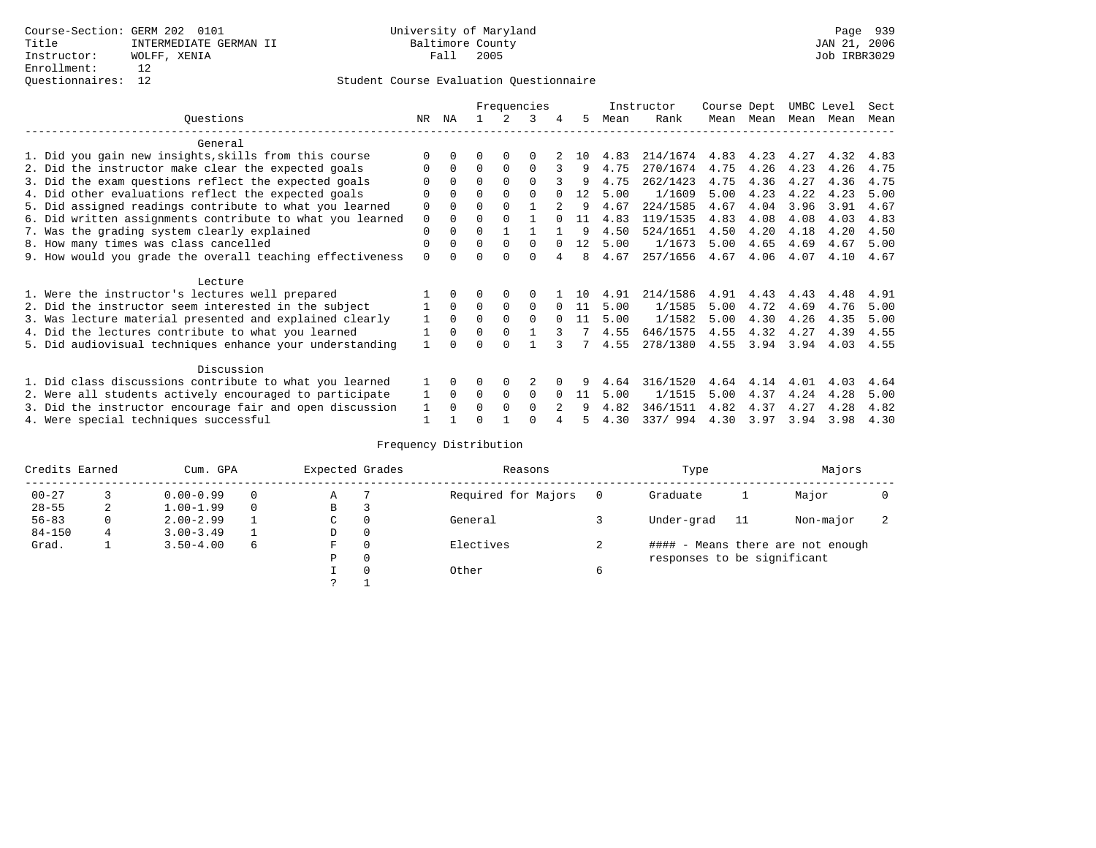|                                                           |          |          |          |              | Frequencies |   |     |      | Instructor | Course Dept |      | UMBC Level |      | Sect |
|-----------------------------------------------------------|----------|----------|----------|--------------|-------------|---|-----|------|------------|-------------|------|------------|------|------|
| Ouestions                                                 | NR.      | ΝA       |          |              | 3           | 4 | 5   | Mean | Rank       | Mean        | Mean | Mean       | Mean | Mean |
| General                                                   |          |          |          |              |             |   |     |      |            |             |      |            |      |      |
| 1. Did you gain new insights, skills from this course     |          | 0        | U        | $\Omega$     | 0           |   | 1 O | 4.83 | 214/1674   | 4.83        | 4.23 | 4.27       | 4.32 | 4.83 |
| 2. Did the instructor make clear the expected goals       |          | $\Omega$ | $\Omega$ | $\Omega$     | $\Omega$    |   | 9   | 4.75 | 270/1674   | 4.75        | 4.26 | 4.23       | 4.26 | 4.75 |
| 3. Did the exam questions reflect the expected goals      |          | $\Omega$ | $\Omega$ | $\Omega$     | $\Omega$    |   | 9   | 4.75 | 262/1423   | 4.75        | 4.36 | 4.27       | 4.36 | 4.75 |
| 4. Did other evaluations reflect the expected goals       |          | $\Omega$ | 0        | $\Omega$     | $\Omega$    |   | 12  | 5.00 | 1/1609     | 5.00        | 4.23 | 4.22       | 4.23 | 5.00 |
| 5. Did assigned readings contribute to what you learned   | 0        | $\Omega$ | U        | $\Omega$     |             |   | 9   | 4.67 | 224/1585   | 4.67        | 4.04 | 3.96       | 3.91 | 4.67 |
| 6. Did written assignments contribute to what you learned | 0        | $\Omega$ | U        |              |             |   | 11  | 4.83 | 119/1535   | 4.83        | 4.08 | 4.08       | 4.03 | 4.83 |
| 7. Was the grading system clearly explained               | 0        | 0        | U        |              |             |   | q   | 4.50 | 524/1651   | 4.50        | 4.20 | 4.18       | 4.20 | 4.50 |
| 8. How many times was class cancelled                     | 0        | $\Omega$ | $\Omega$ | $\Omega$     | $\Omega$    |   | 12  | 5.00 | 1/1673     | 5.00        | 4.65 | 4.69       | 4.67 | 5.00 |
| 9. How would you grade the overall teaching effectiveness | $\Omega$ |          |          | <sup>n</sup> | U           |   | 8   | 4.67 | 257/1656   | 4.67        | 4.06 | 4.07       | 4.10 | 4.67 |
| Lecture                                                   |          |          |          |              |             |   |     |      |            |             |      |            |      |      |
| 1. Were the instructor's lectures well prepared           |          |          |          |              |             |   | 1 O | 4.91 | 214/1586   | 4.91        | 4.43 | 4.43       | 4.48 | 4.91 |
| 2. Did the instructor seem interested in the subject      |          | $\Omega$ | 0        | 0            | $\Omega$    |   | -11 | 5.00 | 1/1585     | 5.00        | 4.72 | 4.69       | 4.76 | 5.00 |
| 3. Was lecture material presented and explained clearly   |          | $\Omega$ | $\Omega$ | $\Omega$     | $\Omega$    |   | 11  | 5.00 | 1/1582     | 5.00        | 4.30 | 4.26       | 4.35 | 5.00 |
| 4. Did the lectures contribute to what you learned        |          | $\Omega$ | $\Omega$ | $\Omega$     |             |   |     | 4.55 | 646/1575   | 4.55        | 4.32 | 4.27       | 4.39 | 4.55 |
| 5. Did audiovisual techniques enhance your understanding  |          |          |          |              |             |   |     | 4.55 | 278/1380   | 4.55        | 3.94 | 3.94       | 4.03 | 4.55 |
| Discussion                                                |          |          |          |              |             |   |     |      |            |             |      |            |      |      |
| 1. Did class discussions contribute to what you learned   |          | 0        | 0        | $\Omega$     |             |   |     | 4.64 | 316/1520   | 4.64        | 4.14 | 4.01       | 4.03 | 4.64 |
| 2. Were all students actively encouraged to participate   |          | $\Omega$ | 0        | 0            | 0           |   | 11  | 5.00 | 1/1515     | 5.00        | 4.37 | 4.24       | 4.28 | 5.00 |
| 3. Did the instructor encourage fair and open discussion  |          |          |          | $\Omega$     | 0           |   |     | 4.82 | 346/1511   | 4.82        | 4.37 | 4.27       | 4.28 | 4.82 |
| 4. Were special techniques successful                     |          |          |          |              |             |   |     | 4.30 | 337/994    | 4.30        | 3.97 | 3.94       | 3.98 | 4.30 |

| Credits Earned |   | Cum. GPA      |   |   | Expected Grades | Reasons             | Type                        |    | Majors                            |  |
|----------------|---|---------------|---|---|-----------------|---------------------|-----------------------------|----|-----------------------------------|--|
| $00 - 27$      |   | $0.00 - 0.99$ |   | Α |                 | Required for Majors | Graduate                    |    | Major                             |  |
| $28 - 55$      | 2 | $1.00 - 1.99$ |   | B | З               |                     |                             |    |                                   |  |
| $56 - 83$      | 0 | $2.00 - 2.99$ |   | C | 0               | General             | Under-grad                  | 11 | Non-major                         |  |
| $84 - 150$     | 4 | $3.00 - 3.49$ |   | D | 0               |                     |                             |    |                                   |  |
| Grad.          |   | $3.50 - 4.00$ | 6 | F | 0               | Electives           |                             |    | #### - Means there are not enough |  |
|                |   |               |   | Ρ | 0               |                     | responses to be significant |    |                                   |  |
|                |   |               |   |   | $\Omega$        | Other               |                             |    |                                   |  |
|                |   |               |   | っ |                 |                     |                             |    |                                   |  |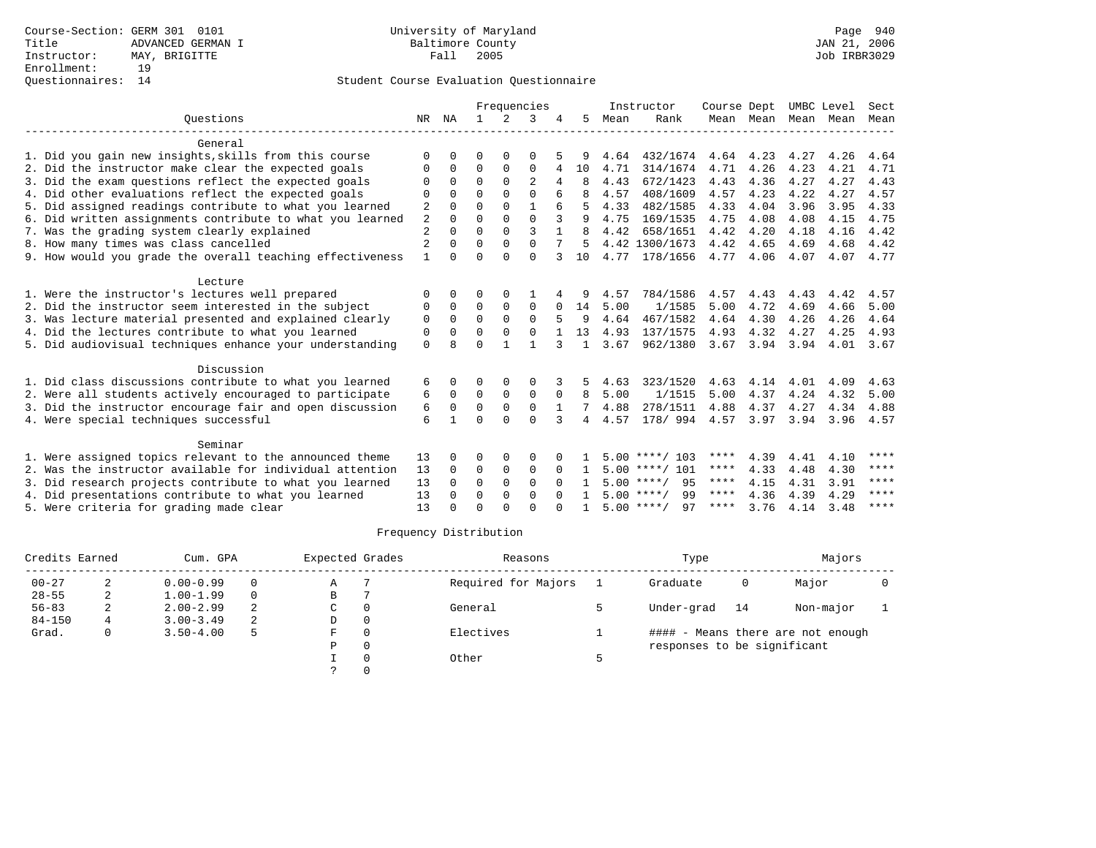|                                                           |                |              |              |             | Frequencies    |              |    |      | Instructor         | Course Dept |           | UMBC Level |      | Sect |
|-----------------------------------------------------------|----------------|--------------|--------------|-------------|----------------|--------------|----|------|--------------------|-------------|-----------|------------|------|------|
| Ouestions                                                 |                | NR NA        | $\mathbf{1}$ | $2^{\circ}$ | 3              |              | 5. | Mean | Rank               |             | Mean Mean | Mean       | Mean | Mean |
| General                                                   |                |              |              |             |                |              |    |      |                    |             |           |            |      |      |
| 1. Did you gain new insights, skills from this course     | O              | O            | 0            | 0           | O              |              | 9  | 4.64 | 432/1674           | 4.64        | 4.23      | 4.27       | 4.26 | 4.64 |
| 2. Did the instructor make clear the expected goals       | O              | 0            | $\Omega$     | $\Omega$    | $\Omega$       | 4            | 10 | 4.71 | 314/1674           | 4.71        | 4.26      | 4.23       | 4.21 | 4.71 |
| 3. Did the exam questions reflect the expected goals      | O              | $\Omega$     | $\Omega$     | $\Omega$    | $\overline{2}$ |              |    | 4.43 | 672/1423           | 4.43        | 4.36      | 4.27       | 4.27 | 4.43 |
| 4. Did other evaluations reflect the expected goals       | $\Omega$       | $\Omega$     | $\Omega$     | $\Omega$    | $\Omega$       |              |    | 4.57 | 408/1609           | 4.57        | 4.23      | 4.22       | 4.27 | 4.57 |
| 5. Did assigned readings contribute to what you learned   | 2              | 0            | $\Omega$     | $\Omega$    | $\mathbf{1}$   |              | 5  | 4.33 | 482/1585           | 4.33        | 4.04      | 3.96       | 3.95 | 4.33 |
| 6. Did written assignments contribute to what you learned | 2              | $\Omega$     | $\Omega$     | $\Omega$    | $\Omega$       | 3            | 9  | 4.75 | 169/1535           | 4.75        | 4.08      | 4.08       | 4.15 | 4.75 |
| 7. Was the grading system clearly explained               | $\overline{c}$ | $\Omega$     | $\Omega$     | $\Omega$    | 3              |              |    | 4.42 | 658/1651           | 4.42        | 4.20      | 4.18       | 4.16 | 4.42 |
| 8. How many times was class cancelled                     | $\overline{2}$ | <sup>0</sup> | $\Omega$     | $\Omega$    | $\Omega$       |              | 5  |      | 4.42 1300/1673     | 4.42        | 4.65      | 4.69       | 4.68 | 4.42 |
| 9. How would you grade the overall teaching effectiveness | $\mathbf{1}$   | <sup>n</sup> | $\Omega$     | $\cap$      | $\Omega$       |              | 10 | 4.77 | 178/1656           | 4.77        | 4.06      | 4.07       | 4.07 | 4.77 |
| Lecture                                                   |                |              |              |             |                |              |    |      |                    |             |           |            |      |      |
| 1. Were the instructor's lectures well prepared           | $\Omega$       | 0            | O            | $\Omega$    |                |              |    | 4.57 | 784/1586           | 4.57        | 4.43      | 4.43       | 4.42 | 4.57 |
| 2. Did the instructor seem interested in the subject      | 0              | 0            | 0            | 0           | $\mathbf 0$    | <sup>0</sup> | 14 | 5.00 | 1/1585             | 5.00        | 4.72      | 4.69       | 4.66 | 5.00 |
| 3. Was lecture material presented and explained clearly   | 0              | $\Omega$     | $\Omega$     | $\Omega$    | $\Omega$       |              | 9  | 4.64 | 467/1582           | 4.64        | 4.30      | 4.26       | 4.26 | 4.64 |
| 4. Did the lectures contribute to what you learned        | 0              | $\Omega$     | $\Omega$     | $\Omega$    | $\Omega$       |              | 13 | 4.93 | 137/1575           | 4.93        | 4.32      | 4.27       | 4.25 | 4.93 |
| 5. Did audiovisual techniques enhance your understanding  | $\Omega$       | $\mathsf{R}$ | $\Omega$     |             |                | 3            | 1  | 3.67 | 962/1380           | 3.67        | 3.94      | 3.94       | 4.01 | 3.67 |
| Discussion                                                |                |              |              |             |                |              |    |      |                    |             |           |            |      |      |
| 1. Did class discussions contribute to what you learned   | 6              | 0            | 0            | $\Omega$    | $\Omega$       |              |    | 4.63 | 323/1520           | 4.63        | 4.14      | 4.01       | 4.09 | 4.63 |
| 2. Were all students actively encouraged to participate   | 6              | 0            | $\mathbf 0$  | $\mathbf 0$ | $\mathbf 0$    | 0            | 8  | 5.00 | 1/1515             | 5.00        | 4.37      | 4.24       | 4.32 | 5.00 |
| 3. Did the instructor encourage fair and open discussion  | 6              | $\Omega$     | $\Omega$     | $\Omega$    | $\Omega$       | $\mathbf{1}$ | 7  | 4.88 | 278/1511           | 4.88        | 4.37      | 4.27       | 4.34 | 4.88 |
| 4. Were special techniques successful                     | 6              |              | $\Omega$     | $\Omega$    | $\Omega$       | 3            | 4  | 4.57 | 178/ 994           | 4.57        | 3.97      | 3.94       | 3.96 | 4.57 |
| Seminar                                                   |                |              |              |             |                |              |    |      |                    |             |           |            |      |      |
| 1. Were assigned topics relevant to the announced theme   | 13             | 0            | O            | $\Omega$    | $\Omega$       |              |    |      | $5.00$ ****/ 103   | ****        | 4.39      | 4.41       | 4.10 | **** |
| 2. Was the instructor available for individual attention  |                | $\Omega$     | 0            | $\mathbf 0$ | $\mathbf 0$    | $\Omega$     |    |      | $5.00$ ****/ 101   | ****        | 4.33      | 4.48       | 4.30 | **** |
| 3. Did research projects contribute to what you learned   |                | $\Omega$     | $\Omega$     | $\mathbf 0$ | $\Omega$       | $\Omega$     |    |      | $5.00$ ****/<br>95 | ****        | 4.15      | 4.31       | 3.91 | **** |
| 4. Did presentations contribute to what you learned       |                | 0            | 0            | 0           | $\Omega$       | $\Omega$     |    |      | $5.00$ ****/<br>99 | ****        | 4.36      | 4.39       | 4.29 | **** |
| 5. Were criteria for grading made clear                   | 13             |              | $\Omega$     | $\cap$      | $\cap$         |              |    |      | $5.00$ ****/<br>97 | ****        | 3.76      | 4.14       | 3.48 | **** |

| Credits Earned |             | Cum. GPA      |   | Expected Grades |          | Reasons             | Type                        |    | Majors                            |  |
|----------------|-------------|---------------|---|-----------------|----------|---------------------|-----------------------------|----|-----------------------------------|--|
| $00 - 27$      |             | $0.00 - 0.99$ |   | Α               |          | Required for Majors | Graduate                    | 0  | Major                             |  |
| $28 - 55$      | $\sim$<br>∠ | $1.00 - 1.99$ |   | В               |          |                     |                             |    |                                   |  |
| $56 - 83$      |             | $2.00 - 2.99$ | 2 | C               | $\Omega$ | General             | Under-grad                  | 14 | Non-major                         |  |
| $84 - 150$     | 4           | $3.00 - 3.49$ | 2 | D               | $\Omega$ |                     |                             |    |                                   |  |
| Grad.          | 0           | $3.50 - 4.00$ | 5 | F               | $\Omega$ | Electives           |                             |    | #### - Means there are not enough |  |
|                |             |               |   | P               | $\Omega$ |                     | responses to be significant |    |                                   |  |
|                |             |               |   |                 | $\Omega$ | Other               |                             |    |                                   |  |
|                |             |               |   |                 |          |                     |                             |    |                                   |  |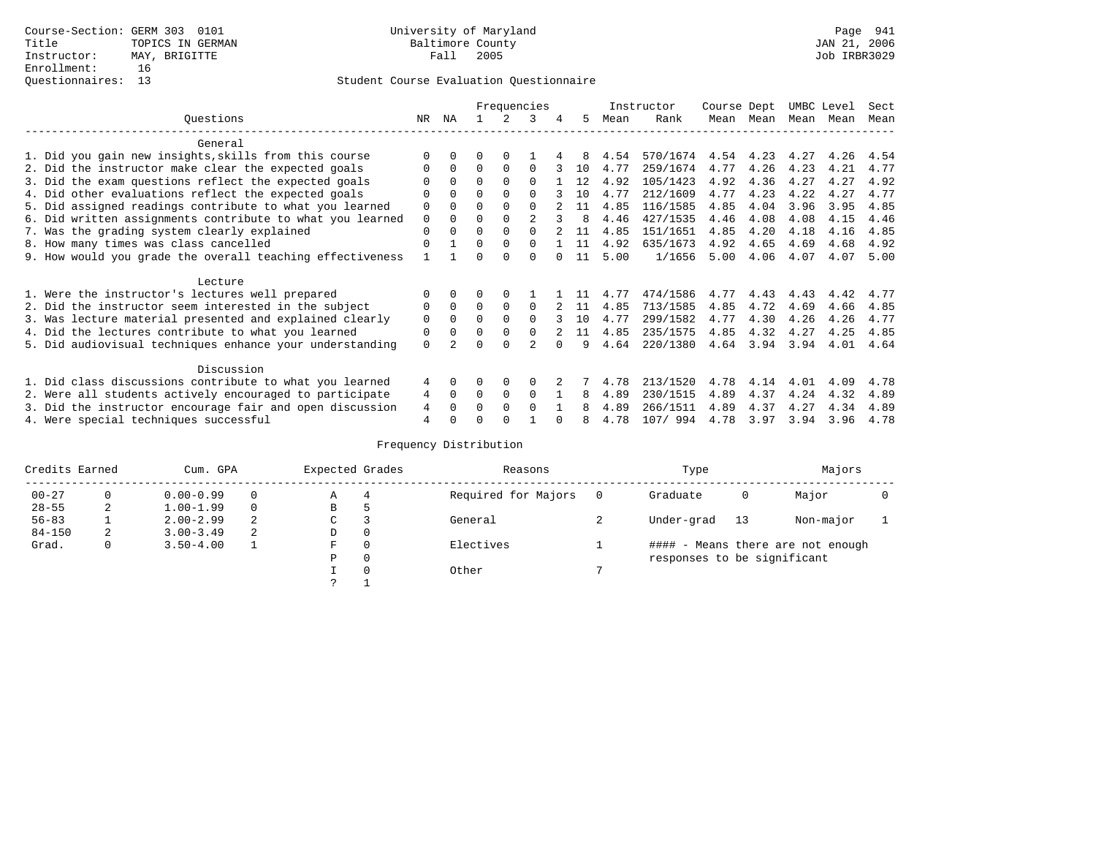|                                                           |                |          |          |          | Frequencies |              |      | Instructor | Course Dept |           | UMBC Level |      | Sect |
|-----------------------------------------------------------|----------------|----------|----------|----------|-------------|--------------|------|------------|-------------|-----------|------------|------|------|
| Ouestions                                                 | NR.            | ΝA       |          | 2        | 3           | 5.           | Mean | Rank       |             | Mean Mean | Mean       | Mean | Mean |
| General                                                   |                |          |          |          |             |              |      |            |             |           |            |      |      |
| 1. Did you gain new insights, skills from this course     |                |          | O        | 0        |             | 8            | 4.54 | 570/1674   | 4.54        | 4.23      | 4.27       | 4.26 | 4.54 |
| 2. Did the instructor make clear the expected goals       | $\Omega$       | 0        | $\Omega$ | $\Omega$ | $\Omega$    | 10           | 4.77 | 259/1674   | 4.77        | 4.26      | 4.23       | 4.21 | 4.77 |
| 3. Did the exam questions reflect the expected goals      |                |          | $\Omega$ | $\Omega$ | $\Omega$    | 12           | 4.92 | 105/1423   | 4.92        | 4.36      | 4.27       | 4.27 | 4.92 |
| 4. Did other evaluations reflect the expected goals       | $\Omega$       |          | $\Omega$ | $\Omega$ | $\Omega$    | 1 O          | 4.77 | 212/1609   | 4.77        | 4.23      | 4.22       | 4.27 | 4.77 |
| 5. Did assigned readings contribute to what you learned   | $\Omega$       |          | $\Omega$ | $\Omega$ | $\Omega$    | 11           | 4.85 | 116/1585   | 4.85        | 4.04      | 3.96       | 3.95 | 4.85 |
| 6. Did written assignments contribute to what you learned | $\mathbf 0$    | 0        | $\Omega$ |          |             | $\mathsf{R}$ | 4.46 | 427/1535   | 4.46        | 4.08      | 4.08       | 4.15 | 4.46 |
| 7. Was the grading system clearly explained               | $\Omega$       |          | $\Omega$ |          |             | 11           | 4.85 | 151/1651   | 4.85        | 4.20      | 4.18       | 4.16 | 4.85 |
| 8. How many times was class cancelled                     | $\Omega$       |          | $\Omega$ | 0        | $\Omega$    | 11           | 4.92 | 635/1673   | 4.92        | 4.65      | 4.69       | 4.68 | 4.92 |
| 9. How would you grade the overall teaching effectiveness |                |          | U        | ∩        | ∩           | 11           | 5.00 | 1/1656     | 5.00        | 4.06      | 4.07       | 4.07 | 5.00 |
| Lecture                                                   |                |          |          |          |             |              |      |            |             |           |            |      |      |
| 1. Were the instructor's lectures well prepared           |                |          |          |          |             |              | 4.77 | 474/1586   | 4.77        | 4.43      | 4.43       | 4.42 | 4.77 |
| 2. Did the instructor seem interested in the subject      | $\Omega$       | $\Omega$ | $\Omega$ | $\Omega$ | $\Omega$    | 11           | 4.85 | 713/1585   | 4.85        | 4.72      | 4.69       | 4.66 | 4.85 |
| 3. Was lecture material presented and explained clearly   | $\mathbf 0$    | $\Omega$ | $\Omega$ |          | $\Omega$    | 10           | 4.77 | 299/1582   | 4.77        | 4.30      | 4.26       | 4.26 | 4.77 |
| 4. Did the lectures contribute to what you learned        | 0              |          | $\Omega$ |          | $\Omega$    | 11           | 4.85 | 235/1575   | 4.85        | 4.32      | 4.27       | 4.25 | 4.85 |
| 5. Did audiovisual techniques enhance your understanding  | $\Omega$       |          | ∩        |          |             | q            | 4.64 | 220/1380   | 4.64        | 3.94      | 3.94       | 4.01 | 4.64 |
| Discussion                                                |                |          |          |          |             |              |      |            |             |           |            |      |      |
| 1. Did class discussions contribute to what you learned   | 4              | 0        | 0        | 0        | $\Omega$    |              | 4.78 | 213/1520   | 4.78        | 4.14      | 4.01       | 4.09 | 4.78 |
| 2. Were all students actively encouraged to participate   | 4              | $\Omega$ | $\Omega$ | 0        | $\Omega$    | 8            | 4.89 | 230/1515   | 4.89        | 4.37      | 4.24       | 4.32 | 4.89 |
| 3. Did the instructor encourage fair and open discussion  | 4              |          | O        | $\Omega$ | $\Omega$    |              | 4.89 | 266/1511   | 4.89        | 4.37      | 4.27       | 4.34 | 4.89 |
| 4. Were special techniques successful                     | $\overline{4}$ |          |          |          |             |              | 4.78 | 107/ 994   | 4.78        | 3.97      | 3.94       | 3.96 | 4.78 |

| Credits Earned | Cum. GPA |               |   | Expected Grades |          | Reasons             | Type                        |    | Majors                            |  |
|----------------|----------|---------------|---|-----------------|----------|---------------------|-----------------------------|----|-----------------------------------|--|
| $00 - 27$      | 0        | $0.00 - 0.99$ |   | Α               | 4        | Required for Majors | Graduate                    | 0  | Major                             |  |
| $28 - 55$      | 2        | $1.00 - 1.99$ |   | В               | 5        |                     |                             |    |                                   |  |
| $56 - 83$      |          | $2.00 - 2.99$ | 2 | ◡               |          | General             | Under-grad                  | 13 | Non-major                         |  |
| $84 - 150$     | 2        | $3.00 - 3.49$ | 2 | D               | 0        |                     |                             |    |                                   |  |
| Grad.          | 0        | $3.50 - 4.00$ |   | F               | 0        | Electives           |                             |    | #### - Means there are not enough |  |
|                |          |               |   | Ρ               | 0        |                     | responses to be significant |    |                                   |  |
|                |          |               |   |                 | $\Omega$ | Other               |                             |    |                                   |  |
|                |          |               |   | っ               |          |                     |                             |    |                                   |  |